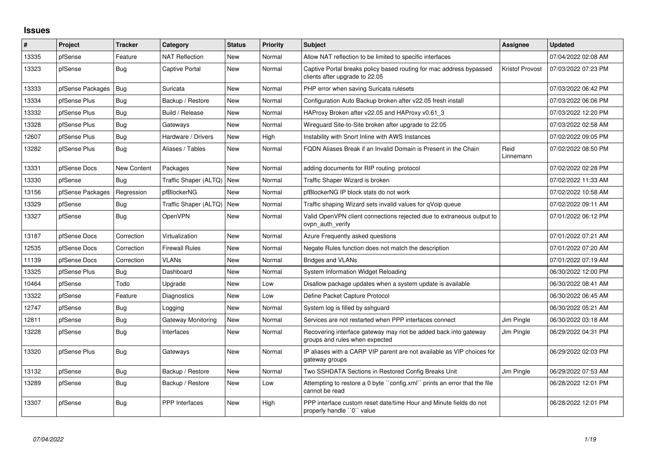## **Issues**

| #     | Project                | Tracker     | Category              | <b>Status</b> | <b>Priority</b> | <b>Subject</b>                                                                                        | Assignee          | <b>Updated</b>      |
|-------|------------------------|-------------|-----------------------|---------------|-----------------|-------------------------------------------------------------------------------------------------------|-------------------|---------------------|
| 13335 | pfSense                | Feature     | <b>NAT Reflection</b> | New           | Normal          | Allow NAT reflection to be limited to specific interfaces                                             |                   | 07/04/2022 02:08 AM |
| 13323 | pfSense                | Bug         | Captive Portal        | New           | Normal          | Captive Portal breaks policy based routing for mac address bypassed<br>clients after upgrade to 22.05 | Kristof Provost   | 07/03/2022 07:23 PM |
| 13333 | pfSense Packages   Bug |             | Suricata              | <b>New</b>    | Normal          | PHP error when saving Suricata rulesets                                                               |                   | 07/03/2022 06:42 PM |
| 13334 | pfSense Plus           | Bug         | Backup / Restore      | <b>New</b>    | Normal          | Configuration Auto Backup broken after v22.05 fresh install                                           |                   | 07/03/2022 06:06 PM |
| 13332 | pfSense Plus           | Bug         | Build / Release       | <b>New</b>    | Normal          | HAProxy Broken after v22.05 and HAProxy v0.61_3                                                       |                   | 07/03/2022 12:20 PM |
| 13328 | pfSense Plus           | Bug         | Gateways              | <b>New</b>    | Normal          | Wireguard Site-to-Site broken after upgrade to 22.05                                                  |                   | 07/03/2022 02:58 AM |
| 12607 | pfSense Plus           | Bug         | Hardware / Drivers    | New           | High            | Instability with Snort Inline with AWS Instances                                                      |                   | 07/02/2022 09:05 PM |
| 13282 | pfSense Plus           | Bug         | Aliases / Tables      | New           | Normal          | FQDN Aliases Break if an Invalid Domain is Present in the Chain                                       | Reid<br>Linnemann | 07/02/2022 08:50 PM |
| 13331 | pfSense Docs           | New Content | Packages              | <b>New</b>    | Normal          | adding documents for RIP routing protocol                                                             |                   | 07/02/2022 02:28 PM |
| 13330 | pfSense                | Bug         | Traffic Shaper (ALTQ) | <b>New</b>    | Normal          | Traffic Shaper Wizard is broken                                                                       |                   | 07/02/2022 11:33 AM |
| 13156 | pfSense Packages       | Regression  | pfBlockerNG           | New           | Normal          | pfBlockerNG IP block stats do not work                                                                |                   | 07/02/2022 10:58 AM |
| 13329 | pfSense                | Bug         | Traffic Shaper (ALTQ) | <b>New</b>    | Normal          | Traffic shaping Wizard sets invalid values for qVoip queue                                            |                   | 07/02/2022 09:11 AM |
| 13327 | pfSense                | <b>Bug</b>  | <b>OpenVPN</b>        | <b>New</b>    | Normal          | Valid OpenVPN client connections rejected due to extraneous output to<br>ovpn auth verify             |                   | 07/01/2022 06:12 PM |
| 13187 | pfSense Docs           | Correction  | Virtualization        | <b>New</b>    | Normal          | Azure Frequently asked questions                                                                      |                   | 07/01/2022 07:21 AM |
| 12535 | pfSense Docs           | Correction  | <b>Firewall Rules</b> | New           | Normal          | Negate Rules function does not match the description                                                  |                   | 07/01/2022 07:20 AM |
| 11139 | pfSense Docs           | Correction  | <b>VLANs</b>          | New           | Normal          | <b>Bridges and VLANs</b>                                                                              |                   | 07/01/2022 07:19 AM |
| 13325 | pfSense Plus           | <b>Bug</b>  | Dashboard             | New           | Normal          | System Information Widget Reloading                                                                   |                   | 06/30/2022 12:00 PM |
| 10464 | pfSense                | Todo        | Upgrade               | <b>New</b>    | Low             | Disallow package updates when a system update is available                                            |                   | 06/30/2022 08:41 AM |
| 13322 | pfSense                | Feature     | Diagnostics           | New           | Low             | Define Packet Capture Protocol                                                                        |                   | 06/30/2022 06:45 AM |
| 12747 | pfSense                | Bug         | Logging               | <b>New</b>    | Normal          | System log is filled by sshguard                                                                      |                   | 06/30/2022 05:21 AM |
| 12811 | pfSense                | Bug         | Gateway Monitoring    | New           | Normal          | Services are not restarted when PPP interfaces connect                                                | Jim Pingle        | 06/30/2022 03:18 AM |
| 13228 | pfSense                | <b>Bug</b>  | Interfaces            | <b>New</b>    | Normal          | Recovering interface gateway may not be added back into gateway<br>groups and rules when expected     | Jim Pingle        | 06/29/2022 04:31 PM |
| 13320 | pfSense Plus           | Bug         | Gateways              | <b>New</b>    | Normal          | IP aliases with a CARP VIP parent are not available as VIP choices for<br>gateway groups              |                   | 06/29/2022 02:03 PM |
| 13132 | pfSense                | Bug         | Backup / Restore      | <b>New</b>    | Normal          | Two SSHDATA Sections in Restored Config Breaks Unit                                                   | Jim Pingle        | 06/29/2022 07:53 AM |
| 13289 | pfSense                | Bug         | Backup / Restore      | New           | Low             | Attempting to restore a 0 byte "config.xml" prints an error that the file<br>cannot be read           |                   | 06/28/2022 12:01 PM |
| 13307 | pfSense                | Bug         | PPP Interfaces        | <b>New</b>    | High            | PPP interface custom reset date/time Hour and Minute fields do not<br>properly handle "0" value       |                   | 06/28/2022 12:01 PM |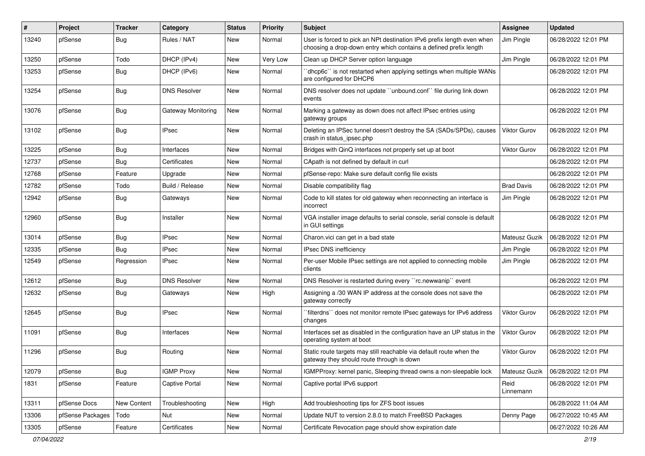| #     | Project          | <b>Tracker</b> | Category            | <b>Status</b> | <b>Priority</b> | Subject                                                                                                                                     | <b>Assignee</b>     | <b>Updated</b>      |
|-------|------------------|----------------|---------------------|---------------|-----------------|---------------------------------------------------------------------------------------------------------------------------------------------|---------------------|---------------------|
| 13240 | pfSense          | Bug            | Rules / NAT         | New           | Normal          | User is forced to pick an NPt destination IPv6 prefix length even when<br>choosing a drop-down entry which contains a defined prefix length | Jim Pingle          | 06/28/2022 12:01 PM |
| 13250 | pfSense          | Todo           | DHCP (IPv4)         | New           | Very Low        | Clean up DHCP Server option language                                                                                                        | Jim Pingle          | 06/28/2022 12:01 PM |
| 13253 | pfSense          | <b>Bug</b>     | DHCP (IPv6)         | New           | Normal          | dhcp6c" is not restarted when applying settings when multiple WANs<br>are configured for DHCP6                                              |                     | 06/28/2022 12:01 PM |
| 13254 | pfSense          | <b>Bug</b>     | <b>DNS Resolver</b> | <b>New</b>    | Normal          | DNS resolver does not update "unbound.conf" file during link down<br>events                                                                 |                     | 06/28/2022 12:01 PM |
| 13076 | pfSense          | <b>Bug</b>     | Gateway Monitoring  | <b>New</b>    | Normal          | Marking a gateway as down does not affect IPsec entries using<br>gateway groups                                                             |                     | 06/28/2022 12:01 PM |
| 13102 | pfSense          | <b>Bug</b>     | <b>IPsec</b>        | New           | Normal          | Deleting an IPSec tunnel doesn't destroy the SA (SADs/SPDs), causes<br>crash in status_ipsec.php                                            | <b>Viktor Gurov</b> | 06/28/2022 12:01 PM |
| 13225 | pfSense          | <b>Bug</b>     | Interfaces          | New           | Normal          | Bridges with QinQ interfaces not properly set up at boot                                                                                    | Viktor Gurov        | 06/28/2022 12:01 PM |
| 12737 | pfSense          | <b>Bug</b>     | Certificates        | New           | Normal          | CApath is not defined by default in curl                                                                                                    |                     | 06/28/2022 12:01 PM |
| 12768 | pfSense          | Feature        | Upgrade             | New           | Normal          | pfSense-repo: Make sure default config file exists                                                                                          |                     | 06/28/2022 12:01 PM |
| 12782 | pfSense          | Todo           | Build / Release     | New           | Normal          | Disable compatibility flag                                                                                                                  | <b>Brad Davis</b>   | 06/28/2022 12:01 PM |
| 12942 | pfSense          | <b>Bug</b>     | Gateways            | New           | Normal          | Code to kill states for old gateway when reconnecting an interface is<br>incorrect                                                          | Jim Pingle          | 06/28/2022 12:01 PM |
| 12960 | pfSense          | Bug            | Installer           | New           | Normal          | VGA installer image defaults to serial console, serial console is default<br>in GUI settings                                                |                     | 06/28/2022 12:01 PM |
| 13014 | pfSense          | Bug            | <b>IPsec</b>        | New           | Normal          | Charon.vici can get in a bad state                                                                                                          | Mateusz Guzik       | 06/28/2022 12:01 PM |
| 12335 | pfSense          | <b>Bug</b>     | <b>IPsec</b>        | New           | Normal          | IPsec DNS inefficiency                                                                                                                      | Jim Pingle          | 06/28/2022 12:01 PM |
| 12549 | pfSense          | Regression     | <b>IPsec</b>        | New           | Normal          | Per-user Mobile IPsec settings are not applied to connecting mobile<br>clients                                                              | Jim Pingle          | 06/28/2022 12:01 PM |
| 12612 | pfSense          | <b>Bug</b>     | <b>DNS Resolver</b> | <b>New</b>    | Normal          | DNS Resolver is restarted during every "rc.newwanip" event                                                                                  |                     | 06/28/2022 12:01 PM |
| 12632 | pfSense          | Bug            | Gateways            | New           | High            | Assigning a /30 WAN IP address at the console does not save the<br>gateway correctly                                                        |                     | 06/28/2022 12:01 PM |
| 12645 | pfSense          | <b>Bug</b>     | <b>IPsec</b>        | <b>New</b>    | Normal          | `filterdns`` does not monitor remote IPsec gateways for IPv6 address<br>changes                                                             | Viktor Gurov        | 06/28/2022 12:01 PM |
| 11091 | pfSense          | Bug            | Interfaces          | New           | Normal          | Interfaces set as disabled in the configuration have an UP status in the<br>operating system at boot                                        | <b>Viktor Gurov</b> | 06/28/2022 12:01 PM |
| 11296 | pfSense          | <b>Bug</b>     | Routing             | New           | Normal          | Static route targets may still reachable via default route when the<br>gateway they should route through is down                            | <b>Viktor Gurov</b> | 06/28/2022 12:01 PM |
| 12079 | pfSense          | <b>Bug</b>     | <b>IGMP Proxy</b>   | New           | Normal          | IGMPProxy: kernel panic, Sleeping thread owns a non-sleepable lock                                                                          | Mateusz Guzik       | 06/28/2022 12:01 PM |
| 1831  | pfSense          | Feature        | Captive Portal      | New           | Normal          | Captive portal IPv6 support                                                                                                                 | Reid<br>Linnemann   | 06/28/2022 12:01 PM |
| 13311 | pfSense Docs     | New Content    | Troubleshooting     | <b>New</b>    | High            | Add troubleshooting tips for ZFS boot issues                                                                                                |                     | 06/28/2022 11:04 AM |
| 13306 | pfSense Packages | Todo           | Nut                 | New           | Normal          | Update NUT to version 2.8.0 to match FreeBSD Packages                                                                                       | Denny Page          | 06/27/2022 10:45 AM |
| 13305 | pfSense          | Feature        | Certificates        | New           | Normal          | Certificate Revocation page should show expiration date                                                                                     |                     | 06/27/2022 10:26 AM |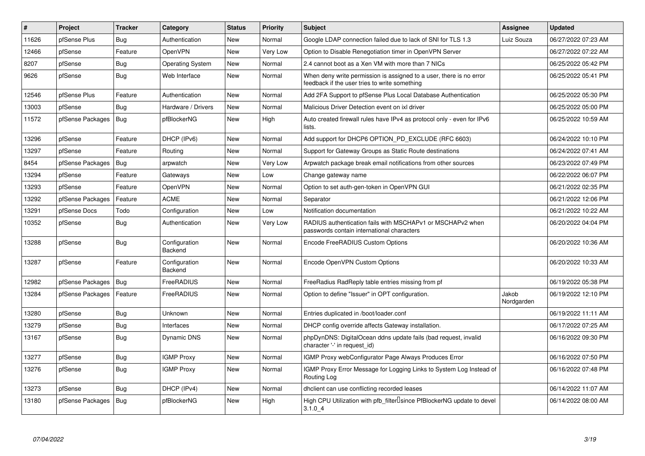| #     | Project                    | <b>Tracker</b> | Category                 | <b>Status</b> | <b>Priority</b> | <b>Subject</b>                                                                                                       | Assignee            | <b>Updated</b>      |
|-------|----------------------------|----------------|--------------------------|---------------|-----------------|----------------------------------------------------------------------------------------------------------------------|---------------------|---------------------|
| 11626 | pfSense Plus               | <b>Bug</b>     | Authentication           | <b>New</b>    | Normal          | Google LDAP connection failed due to lack of SNI for TLS 1.3                                                         | Luiz Souza          | 06/27/2022 07:23 AM |
| 12466 | pfSense                    | Feature        | OpenVPN                  | New           | Very Low        | Option to Disable Renegotiation timer in OpenVPN Server                                                              |                     | 06/27/2022 07:22 AM |
| 8207  | pfSense                    | Bug            | <b>Operating System</b>  | New           | Normal          | 2.4 cannot boot as a Xen VM with more than 7 NICs                                                                    |                     | 06/25/2022 05:42 PM |
| 9626  | pfSense                    | <b>Bug</b>     | Web Interface            | New           | Normal          | When deny write permission is assigned to a user, there is no error<br>feedback if the user tries to write something |                     | 06/25/2022 05:41 PM |
| 12546 | pfSense Plus               | Feature        | Authentication           | <b>New</b>    | Normal          | Add 2FA Support to pfSense Plus Local Database Authentication                                                        |                     | 06/25/2022 05:30 PM |
| 13003 | pfSense                    | Bug            | Hardware / Drivers       | New           | Normal          | Malicious Driver Detection event on ixl driver                                                                       |                     | 06/25/2022 05:00 PM |
| 11572 | pfSense Packages   Bug     |                | pfBlockerNG              | New           | High            | Auto created firewall rules have IPv4 as protocol only - even for IPv6<br>lists.                                     |                     | 06/25/2022 10:59 AM |
| 13296 | pfSense                    | Feature        | DHCP (IPv6)              | New           | Normal          | Add support for DHCP6 OPTION PD EXCLUDE (RFC 6603)                                                                   |                     | 06/24/2022 10:10 PM |
| 13297 | pfSense                    | Feature        | Routing                  | <b>New</b>    | Normal          | Support for Gateway Groups as Static Route destinations                                                              |                     | 06/24/2022 07:41 AM |
| 8454  | pfSense Packages           | Bug            | arpwatch                 | New           | Very Low        | Arpwatch package break email notifications from other sources                                                        |                     | 06/23/2022 07:49 PM |
| 13294 | pfSense                    | Feature        | Gateways                 | New           | Low             | Change gateway name                                                                                                  |                     | 06/22/2022 06:07 PM |
| 13293 | pfSense                    | Feature        | OpenVPN                  | <b>New</b>    | Normal          | Option to set auth-gen-token in OpenVPN GUI                                                                          |                     | 06/21/2022 02:35 PM |
| 13292 | pfSense Packages           | Feature        | <b>ACME</b>              | New           | Normal          | Separator                                                                                                            |                     | 06/21/2022 12:06 PM |
| 13291 | pfSense Docs               | Todo           | Configuration            | New           | Low             | Notification documentation                                                                                           |                     | 06/21/2022 10:22 AM |
| 10352 | pfSense                    | Bug            | Authentication           | <b>New</b>    | Very Low        | RADIUS authentication fails with MSCHAPv1 or MSCHAPv2 when<br>passwords contain international characters             |                     | 06/20/2022 04:04 PM |
| 13288 | pfSense                    | Bug            | Configuration<br>Backend | <b>New</b>    | Normal          | Encode FreeRADIUS Custom Options                                                                                     |                     | 06/20/2022 10:36 AM |
| 13287 | pfSense                    | Feature        | Configuration<br>Backend | <b>New</b>    | Normal          | Encode OpenVPN Custom Options                                                                                        |                     | 06/20/2022 10:33 AM |
| 12982 | pfSense Packages   Bug     |                | FreeRADIUS               | <b>New</b>    | Normal          | FreeRadius RadReply table entries missing from pf                                                                    |                     | 06/19/2022 05:38 PM |
| 13284 | pfSense Packages   Feature |                | FreeRADIUS               | New           | Normal          | Option to define "Issuer" in OPT configuration.                                                                      | Jakob<br>Nordgarden | 06/19/2022 12:10 PM |
| 13280 | pfSense                    | <b>Bug</b>     | Unknown                  | <b>New</b>    | Normal          | Entries duplicated in /boot/loader.conf                                                                              |                     | 06/19/2022 11:11 AM |
| 13279 | pfSense                    | Bug            | Interfaces               | New           | Normal          | DHCP config override affects Gateway installation.                                                                   |                     | 06/17/2022 07:25 AM |
| 13167 | pfSense                    | <b>Bug</b>     | Dynamic DNS              | <b>New</b>    | Normal          | phpDynDNS: DigitalOcean ddns update fails (bad request, invalid<br>character '-' in request id)                      |                     | 06/16/2022 09:30 PM |
| 13277 | pfSense                    | Bug            | <b>IGMP Proxy</b>        | New           | Normal          | IGMP Proxy webConfigurator Page Always Produces Error                                                                |                     | 06/16/2022 07:50 PM |
| 13276 | pfSense                    | <b>Bug</b>     | <b>IGMP Proxy</b>        | <b>New</b>    | Normal          | IGMP Proxy Error Message for Logging Links to System Log Instead of<br>Routing Log                                   |                     | 06/16/2022 07:48 PM |
| 13273 | pfSense                    | Bug            | DHCP (IPv4)              | <b>New</b>    | Normal          | dholient can use conflicting recorded leases                                                                         |                     | 06/14/2022 11:07 AM |
| 13180 | pfSense Packages           | Bug            | pfBlockerNG              | New           | High            | High CPU Utilization with pfb_filter <sup>[]</sup> since PfBlockerNG update to devel<br>3.1.04                       |                     | 06/14/2022 08:00 AM |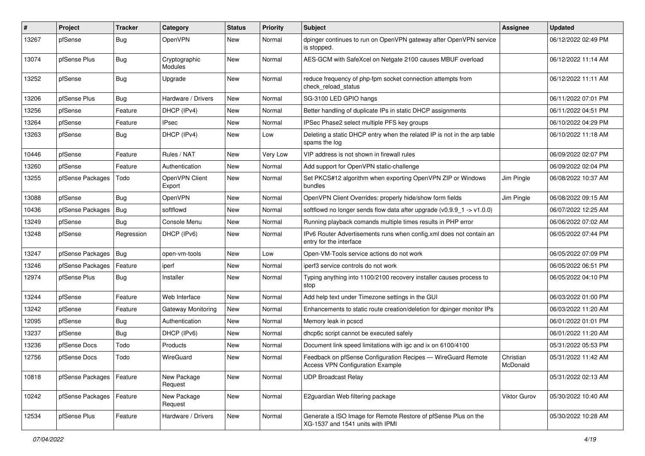| #     | Project          | <b>Tracker</b> | Category                 | <b>Status</b> | <b>Priority</b> | <b>Subject</b>                                                                                          | <b>Assignee</b>       | <b>Updated</b>      |
|-------|------------------|----------------|--------------------------|---------------|-----------------|---------------------------------------------------------------------------------------------------------|-----------------------|---------------------|
| 13267 | pfSense          | <b>Bug</b>     | OpenVPN                  | New           | Normal          | dpinger continues to run on OpenVPN gateway after OpenVPN service<br>is stopped.                        |                       | 06/12/2022 02:49 PM |
| 13074 | pfSense Plus     | <b>Bug</b>     | Cryptographic<br>Modules | New           | Normal          | AES-GCM with SafeXcel on Netgate 2100 causes MBUF overload                                              |                       | 06/12/2022 11:14 AM |
| 13252 | pfSense          | Bug            | Upgrade                  | New           | Normal          | reduce frequency of php-fpm socket connection attempts from<br>check reload status                      |                       | 06/12/2022 11:11 AM |
| 13206 | pfSense Plus     | Bug            | Hardware / Drivers       | New           | Normal          | SG-3100 LED GPIO hangs                                                                                  |                       | 06/11/2022 07:01 PM |
| 13256 | pfSense          | Feature        | DHCP (IPv4)              | New           | Normal          | Better handling of duplicate IPs in static DHCP assignments                                             |                       | 06/11/2022 04:51 PM |
| 13264 | pfSense          | Feature        | IPsec                    | New           | Normal          | IPSec Phase2 select multiple PFS key groups                                                             |                       | 06/10/2022 04:29 PM |
| 13263 | pfSense          | <b>Bug</b>     | DHCP (IPv4)              | New           | Low             | Deleting a static DHCP entry when the related IP is not in the arp table<br>spams the log               |                       | 06/10/2022 11:18 AM |
| 10446 | pfSense          | Feature        | Rules / NAT              | New           | Very Low        | VIP address is not shown in firewall rules                                                              |                       | 06/09/2022 02:07 PM |
| 13260 | pfSense          | Feature        | Authentication           | New           | Normal          | Add support for OpenVPN static-challenge                                                                |                       | 06/09/2022 02:04 PM |
| 13255 | pfSense Packages | Todo           | OpenVPN Client<br>Export | New           | Normal          | Set PKCS#12 algorithm when exporting OpenVPN ZIP or Windows<br>bundles                                  | Jim Pingle            | 06/08/2022 10:37 AM |
| 13088 | pfSense          | Bug            | OpenVPN                  | New           | Normal          | OpenVPN Client Overrides: properly hide/show form fields                                                | Jim Pingle            | 06/08/2022 09:15 AM |
| 10436 | pfSense Packages | Bug            | softflowd                | New           | Normal          | softflowd no longer sends flow data after upgrade ( $v0.9.9$ 1 -> $v1.0.0$ )                            |                       | 06/07/2022 12:25 AM |
| 13249 | pfSense          | <b>Bug</b>     | Console Menu             | New           | Normal          | Running playback comands multiple times results in PHP error                                            |                       | 06/06/2022 07:02 AM |
| 13248 | pfSense          | Regression     | DHCP (IPv6)              | New           | Normal          | IPv6 Router Advertisements runs when config.xml does not contain an<br>entry for the interface          |                       | 06/05/2022 07:44 PM |
| 13247 | pfSense Packages | Bug            | open-vm-tools            | New           | Low             | Open-VM-Tools service actions do not work                                                               |                       | 06/05/2022 07:09 PM |
| 13246 | pfSense Packages | Feature        | iperf                    | New           | Normal          | iperf3 service controls do not work                                                                     |                       | 06/05/2022 06:51 PM |
| 12974 | pfSense Plus     | Bug            | Installer                | New           | Normal          | Typing anything into 1100/2100 recovery installer causes process to<br>stop                             |                       | 06/05/2022 04:10 PM |
| 13244 | pfSense          | Feature        | Web Interface            | New           | Normal          | Add help text under Timezone settings in the GUI                                                        |                       | 06/03/2022 01:00 PM |
| 13242 | pfSense          | Feature        | Gateway Monitoring       | New           | Normal          | Enhancements to static route creation/deletion for dpinger monitor IPs                                  |                       | 06/03/2022 11:20 AM |
| 12095 | pfSense          | Bug            | Authentication           | New           | Normal          | Memory leak in pcscd                                                                                    |                       | 06/01/2022 01:01 PM |
| 13237 | pfSense          | <b>Bug</b>     | DHCP (IPv6)              | New           | Normal          | dhcp6c script cannot be executed safely                                                                 |                       | 06/01/2022 11:20 AM |
| 13236 | pfSense Docs     | Todo           | Products                 | New           | Normal          | Document link speed limitations with igc and ix on 6100/4100                                            |                       | 05/31/2022 05:53 PM |
| 12756 | pfSense Docs     | Todo           | WireGuard                | New           | Normal          | Feedback on pfSense Configuration Recipes - WireGuard Remote<br><b>Access VPN Configuration Example</b> | Christian<br>McDonald | 05/31/2022 11:42 AM |
| 10818 | pfSense Packages | Feature        | New Package<br>Request   | New           | Normal          | <b>UDP Broadcast Relay</b>                                                                              |                       | 05/31/2022 02:13 AM |
| 10242 | pfSense Packages | Feature        | New Package<br>Request   | New           | Normal          | E2guardian Web filtering package                                                                        | Viktor Gurov          | 05/30/2022 10:40 AM |
| 12534 | pfSense Plus     | Feature        | Hardware / Drivers       | New           | Normal          | Generate a ISO Image for Remote Restore of pfSense Plus on the<br>XG-1537 and 1541 units with IPMI      |                       | 05/30/2022 10:28 AM |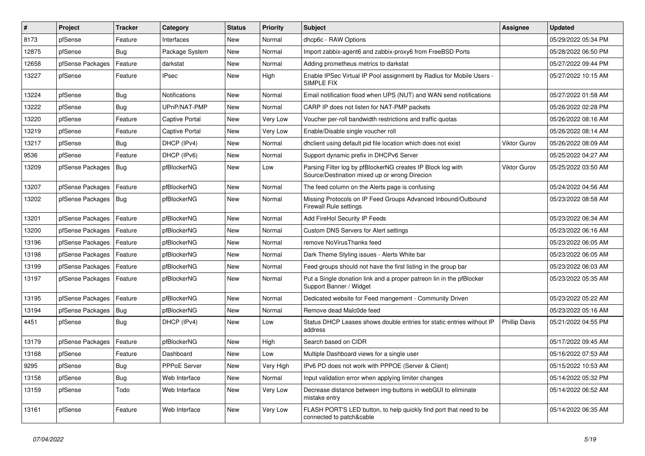| #     | Project          | <b>Tracker</b> | Category             | <b>Status</b> | <b>Priority</b> | <b>Subject</b>                                                                                               | <b>Assignee</b>      | <b>Updated</b>      |
|-------|------------------|----------------|----------------------|---------------|-----------------|--------------------------------------------------------------------------------------------------------------|----------------------|---------------------|
| 8173  | pfSense          | Feature        | Interfaces           | New           | Normal          | dhcp6c - RAW Options                                                                                         |                      | 05/29/2022 05:34 PM |
| 12875 | pfSense          | Bug            | Package System       | New           | Normal          | Import zabbix-agent6 and zabbix-proxy6 from FreeBSD Ports                                                    |                      | 05/28/2022 06:50 PM |
| 12658 | pfSense Packages | Feature        | darkstat             | New           | Normal          | Adding prometheus metrics to darkstat                                                                        |                      | 05/27/2022 09:44 PM |
| 13227 | pfSense          | Feature        | <b>IPsec</b>         | New           | High            | Enable IPSec Virtual IP Pool assignment by Radius for Mobile Users -<br>SIMPLE FIX                           |                      | 05/27/2022 10:15 AM |
| 13224 | pfSense          | <b>Bug</b>     | <b>Notifications</b> | New           | Normal          | Email notification flood when UPS (NUT) and WAN send notifications                                           |                      | 05/27/2022 01:58 AM |
| 13222 | pfSense          | <b>Bug</b>     | UPnP/NAT-PMP         | New           | Normal          | CARP IP does not listen for NAT-PMP packets                                                                  |                      | 05/26/2022 02:28 PM |
| 13220 | pfSense          | Feature        | Captive Portal       | New           | Very Low        | Voucher per-roll bandwidth restrictions and traffic quotas                                                   |                      | 05/26/2022 08:16 AM |
| 13219 | pfSense          | Feature        | Captive Portal       | New           | Very Low        | Enable/Disable single voucher roll                                                                           |                      | 05/26/2022 08:14 AM |
| 13217 | pfSense          | Bug            | DHCP (IPv4)          | New           | Normal          | dhclient using default pid file location which does not exist                                                | Viktor Gurov         | 05/26/2022 08:09 AM |
| 9536  | pfSense          | Feature        | DHCP (IPv6)          | New           | Normal          | Support dynamic prefix in DHCPv6 Server                                                                      |                      | 05/25/2022 04:27 AM |
| 13209 | pfSense Packages | Bug            | pfBlockerNG          | New           | Low             | Parsing Filter log by pfBlockerNG creates IP Block log with<br>Source/Destination mixed up or wrong Direcion | Viktor Gurov         | 05/25/2022 03:50 AM |
| 13207 | pfSense Packages | Feature        | pfBlockerNG          | New           | Normal          | The feed column on the Alerts page is confusing                                                              |                      | 05/24/2022 04:56 AM |
| 13202 | pfSense Packages | Bug            | pfBlockerNG          | New           | Normal          | Missing Protocols on IP Feed Groups Advanced Inbound/Outbound<br><b>Firewall Rule settings</b>               |                      | 05/23/2022 08:58 AM |
| 13201 | pfSense Packages | Feature        | pfBlockerNG          | New           | Normal          | Add FireHol Security IP Feeds                                                                                |                      | 05/23/2022 06:34 AM |
| 13200 | pfSense Packages | Feature        | pfBlockerNG          | New           | Normal          | Custom DNS Servers for Alert settings                                                                        |                      | 05/23/2022 06:16 AM |
| 13196 | pfSense Packages | Feature        | pfBlockerNG          | New           | Normal          | remove NoVirusThanks feed                                                                                    |                      | 05/23/2022 06:05 AM |
| 13198 | pfSense Packages | Feature        | pfBlockerNG          | New           | Normal          | Dark Theme Styling issues - Alerts White bar                                                                 |                      | 05/23/2022 06:05 AM |
| 13199 | pfSense Packages | Feature        | pfBlockerNG          | New           | Normal          | Feed groups should not have the first listing in the group bar                                               |                      | 05/23/2022 06:03 AM |
| 13197 | pfSense Packages | Feature        | pfBlockerNG          | New           | Normal          | Put a Single donation link and a proper patreon lin in the pfBlocker<br>Support Banner / Widget              |                      | 05/23/2022 05:35 AM |
| 13195 | pfSense Packages | Feature        | pfBlockerNG          | New           | Normal          | Dedicated website for Feed mangement - Community Driven                                                      |                      | 05/23/2022 05:22 AM |
| 13194 | pfSense Packages | Bug            | pfBlockerNG          | New           | Normal          | Remove dead Malc0de feed                                                                                     |                      | 05/23/2022 05:16 AM |
| 4451  | pfSense          | <b>Bug</b>     | DHCP (IPv4)          | New           | Low             | Status DHCP Leases shows double entries for static entries without IP<br>address                             | <b>Phillip Davis</b> | 05/21/2022 04:55 PM |
| 13179 | pfSense Packages | Feature        | pfBlockerNG          | New           | High            | Search based on CIDR                                                                                         |                      | 05/17/2022 09:45 AM |
| 13168 | pfSense          | Feature        | Dashboard            | New           | Low             | Multiple Dashboard views for a single user                                                                   |                      | 05/16/2022 07:53 AM |
| 9295  | ptSense          | Bug            | PPPoE Server         | New           | Very High       | IPv6 PD does not work with PPPOE (Server & Client)                                                           |                      | 05/15/2022 10:53 AM |
| 13158 | pfSense          | <b>Bug</b>     | Web Interface        | New           | Normal          | Input validation error when applying limiter changes                                                         |                      | 05/14/2022 05:32 PM |
| 13159 | pfSense          | Todo           | Web Interface        | New           | Very Low        | Decrease distance between img-buttons in webGUI to eliminate<br>mistake entry                                |                      | 05/14/2022 06:52 AM |
| 13161 | pfSense          | Feature        | Web Interface        | New           | Very Low        | FLASH PORT'S LED button, to help quickly find port that need to be<br>connected to patch&cable               |                      | 05/14/2022 06:35 AM |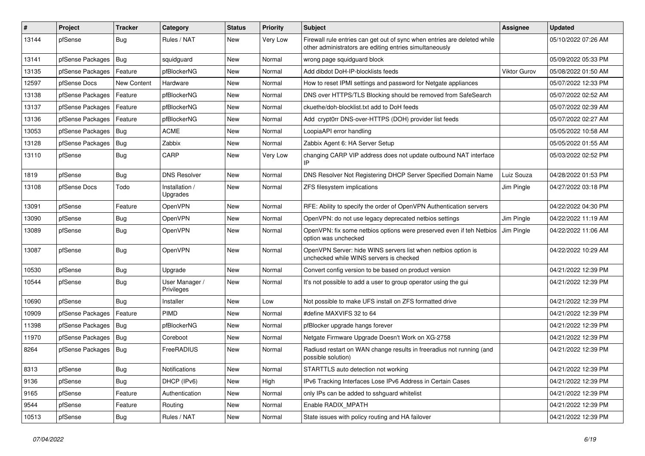| #     | Project          | <b>Tracker</b>     | Category                     | <b>Status</b> | <b>Priority</b> | <b>Subject</b>                                                                                                                      | <b>Assignee</b> | <b>Updated</b>      |
|-------|------------------|--------------------|------------------------------|---------------|-----------------|-------------------------------------------------------------------------------------------------------------------------------------|-----------------|---------------------|
| 13144 | pfSense          | Bug                | Rules / NAT                  | New           | Very Low        | Firewall rule entries can get out of sync when entries are deleted while<br>other administrators are editing entries simultaneously |                 | 05/10/2022 07:26 AM |
| 13141 | pfSense Packages | Bug                | squidguard                   | New           | Normal          | wrong page squidguard block                                                                                                         |                 | 05/09/2022 05:33 PM |
| 13135 | pfSense Packages | Feature            | pfBlockerNG                  | New           | Normal          | Add dibdot DoH-IP-blocklists feeds                                                                                                  | Viktor Gurov    | 05/08/2022 01:50 AM |
| 12597 | pfSense Docs     | <b>New Content</b> | Hardware                     | New           | Normal          | How to reset IPMI settings and password for Netgate appliances                                                                      |                 | 05/07/2022 12:33 PM |
| 13138 | pfSense Packages | Feature            | pfBlockerNG                  | New           | Normal          | DNS over HTTPS/TLS Blocking should be removed from SafeSearch                                                                       |                 | 05/07/2022 02:52 AM |
| 13137 | pfSense Packages | Feature            | pfBlockerNG                  | New           | Normal          | ckuethe/doh-blocklist.txt add to DoH feeds                                                                                          |                 | 05/07/2022 02:39 AM |
| 13136 | pfSense Packages | Feature            | pfBlockerNG                  | New           | Normal          | Add crypt0rr DNS-over-HTTPS (DOH) provider list feeds                                                                               |                 | 05/07/2022 02:27 AM |
| 13053 | pfSense Packages | Bug                | <b>ACME</b>                  | New           | Normal          | LoopiaAPI error handling                                                                                                            |                 | 05/05/2022 10:58 AM |
| 13128 | pfSense Packages | Bug                | Zabbix                       | New           | Normal          | Zabbix Agent 6: HA Server Setup                                                                                                     |                 | 05/05/2022 01:55 AM |
| 13110 | pfSense          | <b>Bug</b>         | CARP                         | New           | Very Low        | changing CARP VIP address does not update outbound NAT interface                                                                    |                 | 05/03/2022 02:52 PM |
| 1819  | pfSense          | Bug                | <b>DNS Resolver</b>          | New           | Normal          | DNS Resolver Not Registering DHCP Server Specified Domain Name                                                                      | Luiz Souza      | 04/28/2022 01:53 PM |
| 13108 | pfSense Docs     | Todo               | Installation /<br>Upgrades   | New           | Normal          | ZFS filesystem implications                                                                                                         | Jim Pingle      | 04/27/2022 03:18 PM |
| 13091 | pfSense          | Feature            | OpenVPN                      | New           | Normal          | RFE: Ability to specify the order of OpenVPN Authentication servers                                                                 |                 | 04/22/2022 04:30 PM |
| 13090 | pfSense          | <b>Bug</b>         | OpenVPN                      | New           | Normal          | OpenVPN: do not use legacy deprecated netbios settings                                                                              | Jim Pingle      | 04/22/2022 11:19 AM |
| 13089 | pfSense          | <b>Bug</b>         | OpenVPN                      | <b>New</b>    | Normal          | OpenVPN: fix some netbios options were preserved even if teh Netbios<br>option was unchecked                                        | Jim Pingle      | 04/22/2022 11:06 AM |
| 13087 | pfSense          | <b>Bug</b>         | OpenVPN                      | New           | Normal          | OpenVPN Server: hide WINS servers list when netbios option is<br>unchecked while WINS servers is checked                            |                 | 04/22/2022 10:29 AM |
| 10530 | pfSense          | <b>Bug</b>         | Upgrade                      | New           | Normal          | Convert config version to be based on product version                                                                               |                 | 04/21/2022 12:39 PM |
| 10544 | pfSense          | Bug                | User Manager /<br>Privileges | New           | Normal          | It's not possible to add a user to group operator using the gui                                                                     |                 | 04/21/2022 12:39 PM |
| 10690 | pfSense          | Bug                | Installer                    | New           | Low             | Not possible to make UFS install on ZFS formatted drive                                                                             |                 | 04/21/2022 12:39 PM |
| 10909 | pfSense Packages | Feature            | PIMD                         | New           | Normal          | #define MAXVIFS 32 to 64                                                                                                            |                 | 04/21/2022 12:39 PM |
| 11398 | pfSense Packages | Bug                | pfBlockerNG                  | New           | Normal          | pfBlocker upgrade hangs forever                                                                                                     |                 | 04/21/2022 12:39 PM |
| 11970 | pfSense Packages | $ $ Bug            | Coreboot                     | New           | Normal          | Netgate Firmware Upgrade Doesn't Work on XG-2758                                                                                    |                 | 04/21/2022 12:39 PM |
| 8264  | pfSense Packages | Bug                | FreeRADIUS                   | New           | Normal          | Radiusd restart on WAN change results in freeradius not running (and<br>possible solution)                                          |                 | 04/21/2022 12:39 PM |
| 8313  | pfSense          | Bug                | Notifications                | New           | Normal          | STARTTLS auto detection not working                                                                                                 |                 | 04/21/2022 12:39 PM |
| 9136  | pfSense          | <b>Bug</b>         | DHCP (IPv6)                  | New           | High            | IPv6 Tracking Interfaces Lose IPv6 Address in Certain Cases                                                                         |                 | 04/21/2022 12:39 PM |
| 9165  | pfSense          | Feature            | Authentication               | New           | Normal          | only IPs can be added to sshguard whitelist                                                                                         |                 | 04/21/2022 12:39 PM |
| 9544  | pfSense          | Feature            | Routing                      | New           | Normal          | Enable RADIX_MPATH                                                                                                                  |                 | 04/21/2022 12:39 PM |
| 10513 | pfSense          | Bug                | Rules / NAT                  | New           | Normal          | State issues with policy routing and HA failover                                                                                    |                 | 04/21/2022 12:39 PM |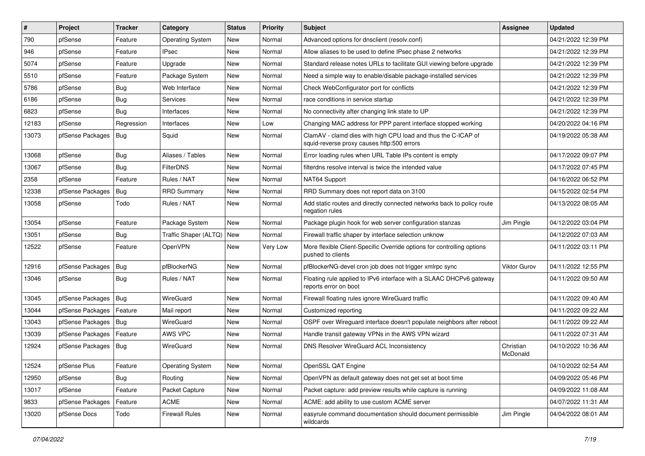| $\vert$ # | Project                | <b>Tracker</b> | Category                | <b>Status</b> | <b>Priority</b> | <b>Subject</b>                                                                                              | Assignee              | <b>Updated</b>      |
|-----------|------------------------|----------------|-------------------------|---------------|-----------------|-------------------------------------------------------------------------------------------------------------|-----------------------|---------------------|
| 790       | pfSense                | Feature        | <b>Operating System</b> | New           | Normal          | Advanced options for dnsclient (resolv.conf)                                                                |                       | 04/21/2022 12:39 PM |
| 946       | pfSense                | Feature        | <b>IPsec</b>            | New           | Normal          | Allow aliases to be used to define IPsec phase 2 networks                                                   |                       | 04/21/2022 12:39 PM |
| 5074      | pfSense                | Feature        | Upgrade                 | New           | Normal          | Standard release notes URLs to facilitate GUI viewing before upgrade                                        |                       | 04/21/2022 12:39 PM |
| 5510      | pfSense                | Feature        | Package System          | New           | Normal          | Need a simple way to enable/disable package-installed services                                              |                       | 04/21/2022 12:39 PM |
| 5786      | pfSense                | Bug            | Web Interface           | <b>New</b>    | Normal          | Check WebConfigurator port for conflicts                                                                    |                       | 04/21/2022 12:39 PM |
| 6186      | pfSense                | <b>Bug</b>     | Services                | New           | Normal          | race conditions in service startup                                                                          |                       | 04/21/2022 12:39 PM |
| 6823      | pfSense                | <b>Bug</b>     | Interfaces              | New           | Normal          | No connectivity after changing link state to UP                                                             |                       | 04/21/2022 12:39 PM |
| 12183     | pfSense                | Regression     | Interfaces              | New           | Low             | Changing MAC address for PPP parent interface stopped working                                               |                       | 04/20/2022 04:16 PM |
| 13073     | pfSense Packages       | Bug            | Squid                   | New           | Normal          | ClamAV - clamd dies with high CPU load and thus the C-ICAP of<br>squid-reverse proxy causes http:500 errors |                       | 04/19/2022 05:38 AM |
| 13068     | pfSense                | <b>Bug</b>     | Aliases / Tables        | New           | Normal          | Error loading rules when URL Table IPs content is empty                                                     |                       | 04/17/2022 09:07 PM |
| 13067     | pfSense                | <b>Bug</b>     | <b>FilterDNS</b>        | New           | Normal          | filterdns resolve interval is twice the intended value                                                      |                       | 04/17/2022 07:45 PM |
| 2358      | pfSense                | Feature        | Rules / NAT             | New           | Normal          | NAT64 Support                                                                                               |                       | 04/16/2022 06:52 PM |
| 12338     | pfSense Packages       | Bug            | <b>RRD Summary</b>      | New           | Normal          | RRD Summary does not report data on 3100                                                                    |                       | 04/15/2022 02:54 PM |
| 13058     | pfSense                | Todo           | Rules / NAT             | New           | Normal          | Add static routes and directly connected networks back to policy route<br>negation rules                    |                       | 04/13/2022 08:05 AM |
| 13054     | pfSense                | Feature        | Package System          | New           | Normal          | Package plugin hook for web server configuration stanzas                                                    | Jim Pingle            | 04/12/2022 03:04 PM |
| 13051     | pfSense                | <b>Bug</b>     | Traffic Shaper (ALTQ)   | New           | Normal          | Firewall traffic shaper by interface selection unknow                                                       |                       | 04/12/2022 07:03 AM |
| 12522     | pfSense                | Feature        | OpenVPN                 | New           | Very Low        | More flexible Client-Specific Override options for controlling options<br>pushed to clients                 |                       | 04/11/2022 03:11 PM |
| 12916     | pfSense Packages       | Bug            | pfBlockerNG             | <b>New</b>    | Normal          | pfBlockerNG-devel cron job does not trigger xmlrpc sync                                                     | Viktor Gurov          | 04/11/2022 12:55 PM |
| 13046     | pfSense                | <b>Bug</b>     | Rules / NAT             | New           | Normal          | Floating rule applied to IPv6 interface with a SLAAC DHCPv6 gateway<br>reports error on boot                |                       | 04/11/2022 09:50 AM |
| 13045     | pfSense Packages       | Bug            | WireGuard               | New           | Normal          | Firewall floating rules ignore WireGuard traffic                                                            |                       | 04/11/2022 09:40 AM |
| 13044     | pfSense Packages       | Feature        | Mail report             | New           | Normal          | Customized reporting                                                                                        |                       | 04/11/2022 09:22 AM |
| 13043     | pfSense Packages       | Bug            | WireGuard               | New           | Normal          | OSPF over Wireguard interface doesn't populate neighbors after reboot                                       |                       | 04/11/2022 09:22 AM |
| 13039     | pfSense Packages       | Feature        | AWS VPC                 | New           | Normal          | Handle transit gateway VPNs in the AWS VPN wizard                                                           |                       | 04/11/2022 07:31 AM |
| 12924     | pfSense Packages   Bug |                | WireGuard               | New           | Normal          | DNS Resolver WireGuard ACL Inconsistency                                                                    | Christian<br>McDonald | 04/10/2022 10:36 AM |
| 12524     | pfSense Plus           | Feature        | <b>Operating System</b> | New           | Normal          | OpenSSL QAT Engine                                                                                          |                       | 04/10/2022 02:54 AM |
| 12950     | pfSense                | Bug            | Routing                 | New           | Normal          | OpenVPN as default gateway does not get set at boot time                                                    |                       | 04/09/2022 05:46 PM |
| 13017     | pfSense                | Feature        | Packet Capture          | New           | Normal          | Packet capture: add preview results while capture is running                                                |                       | 04/09/2022 11:08 AM |
| 9833      | pfSense Packages       | Feature        | ACME                    | New           | Normal          | ACME: add ability to use custom ACME server                                                                 |                       | 04/07/2022 11:31 AM |
| 13020     | pfSense Docs           | Todo           | <b>Firewall Rules</b>   | New           | Normal          | easyrule command documentation should document permissible<br>wildcards                                     | Jim Pingle            | 04/04/2022 08:01 AM |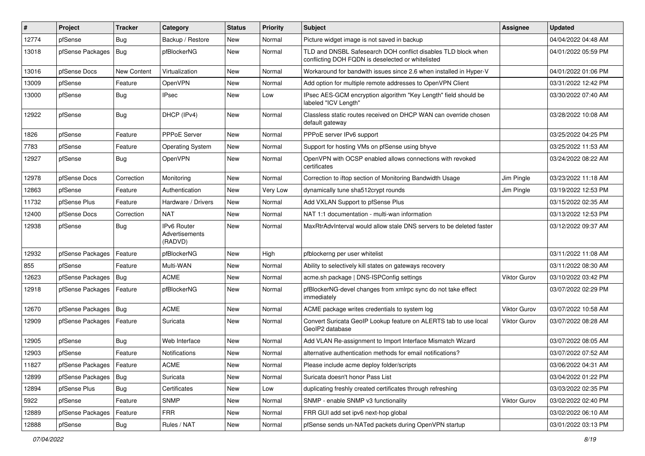| #     | Project                    | <b>Tracker</b> | Category                                        | <b>Status</b> | <b>Priority</b> | <b>Subject</b>                                                                                                     | <b>Assignee</b>     | <b>Updated</b>      |
|-------|----------------------------|----------------|-------------------------------------------------|---------------|-----------------|--------------------------------------------------------------------------------------------------------------------|---------------------|---------------------|
| 12774 | pfSense                    | Bug            | Backup / Restore                                | New           | Normal          | Picture widget image is not saved in backup                                                                        |                     | 04/04/2022 04:48 AM |
| 13018 | pfSense Packages           | Bug            | pfBlockerNG                                     | New           | Normal          | TLD and DNSBL Safesearch DOH conflict disables TLD block when<br>conflicting DOH FQDN is deselected or whitelisted |                     | 04/01/2022 05:59 PM |
| 13016 | pfSense Docs               | New Content    | Virtualization                                  | New           | Normal          | Workaround for bandwith issues since 2.6 when installed in Hyper-V                                                 |                     | 04/01/2022 01:06 PM |
| 13009 | pfSense                    | Feature        | OpenVPN                                         | New           | Normal          | Add option for multiple remote addresses to OpenVPN Client                                                         |                     | 03/31/2022 12:42 PM |
| 13000 | pfSense                    | Bug            | IPsec                                           | New           | Low             | IPsec AES-GCM encryption algorithm "Key Length" field should be<br>labeled "ICV Length"                            |                     | 03/30/2022 07:40 AM |
| 12922 | pfSense                    | Bug            | DHCP (IPv4)                                     | New           | Normal          | Classless static routes received on DHCP WAN can override chosen<br>default gateway                                |                     | 03/28/2022 10:08 AM |
| 1826  | pfSense                    | Feature        | PPPoE Server                                    | New           | Normal          | PPPoE server IPv6 support                                                                                          |                     | 03/25/2022 04:25 PM |
| 7783  | pfSense                    | Feature        | <b>Operating System</b>                         | New           | Normal          | Support for hosting VMs on pfSense using bhyve                                                                     |                     | 03/25/2022 11:53 AM |
| 12927 | pfSense                    | Bug            | OpenVPN                                         | New           | Normal          | OpenVPN with OCSP enabled allows connections with revoked<br>certificates                                          |                     | 03/24/2022 08:22 AM |
| 12978 | pfSense Docs               | Correction     | Monitorina                                      | New           | Normal          | Correction to iftop section of Monitoring Bandwidth Usage                                                          | Jim Pingle          | 03/23/2022 11:18 AM |
| 12863 | pfSense                    | Feature        | Authentication                                  | New           | Very Low        | dynamically tune sha512crypt rounds                                                                                | Jim Pingle          | 03/19/2022 12:53 PM |
| 11732 | pfSense Plus               | Feature        | Hardware / Drivers                              | New           | Normal          | Add VXLAN Support to pfSense Plus                                                                                  |                     | 03/15/2022 02:35 AM |
| 12400 | pfSense Docs               | Correction     | <b>NAT</b>                                      | New           | Normal          | NAT 1:1 documentation - multi-wan information                                                                      |                     | 03/13/2022 12:53 PM |
| 12938 | pfSense                    | Bug            | <b>IPv6 Router</b><br>Advertisements<br>(RADVD) | New           | Normal          | MaxRtrAdvInterval would allow stale DNS servers to be deleted faster                                               |                     | 03/12/2022 09:37 AM |
| 12932 | pfSense Packages           | Feature        | pfBlockerNG                                     | New           | High            | pfblockerng per user whitelist                                                                                     |                     | 03/11/2022 11:08 AM |
| 855   | pfSense                    | Feature        | Multi-WAN                                       | New           | Normal          | Ability to selectively kill states on gateways recovery                                                            |                     | 03/11/2022 08:30 AM |
| 12623 | pfSense Packages           | Bug            | <b>ACME</b>                                     | New           | Normal          | acme.sh package   DNS-ISPConfig settings                                                                           | <b>Viktor Gurov</b> | 03/10/2022 03:42 PM |
| 12918 | pfSense Packages           | Feature        | pfBlockerNG                                     | New           | Normal          | pfBlockerNG-devel changes from xmlrpc sync do not take effect<br>immediately                                       |                     | 03/07/2022 02:29 PM |
| 12670 | pfSense Packages           | Bug            | <b>ACME</b>                                     | <b>New</b>    | Normal          | ACME package writes credentials to system log                                                                      | <b>Viktor Gurov</b> | 03/07/2022 10:58 AM |
| 12909 | pfSense Packages           | Feature        | Suricata                                        | New           | Normal          | Convert Suricata GeoIP Lookup feature on ALERTS tab to use local<br>GeoIP2 database                                | Viktor Gurov        | 03/07/2022 08:28 AM |
| 12905 | pfSense                    | Bug            | Web Interface                                   | New           | Normal          | Add VLAN Re-assignment to Import Interface Mismatch Wizard                                                         |                     | 03/07/2022 08:05 AM |
| 12903 | pfSense                    | Feature        | Notifications                                   | New           | Normal          | alternative authentication methods for email notifications?                                                        |                     | 03/07/2022 07:52 AM |
| 11827 | pfSense Packages   Feature |                | ACME                                            | New           | Normal          | Please include acme deploy folder/scripts                                                                          |                     | 03/06/2022 04:31 AM |
| 12899 | pfSense Packages           | Bug            | Suricata                                        | New           | Normal          | Suricata doesn't honor Pass List                                                                                   |                     | 03/04/2022 01:22 PM |
| 12894 | pfSense Plus               | Bug            | Certificates                                    | New           | Low             | duplicating freshly created certificates through refreshing                                                        |                     | 03/03/2022 02:35 PM |
| 5922  | pfSense                    | Feature        | <b>SNMP</b>                                     | New           | Normal          | SNMP - enable SNMP v3 functionality                                                                                | <b>Viktor Gurov</b> | 03/02/2022 02:40 PM |
| 12889 | pfSense Packages           | Feature        | <b>FRR</b>                                      | New           | Normal          | FRR GUI add set ipv6 next-hop global                                                                               |                     | 03/02/2022 06:10 AM |
| 12888 | pfSense                    | Bug            | Rules / NAT                                     | New           | Normal          | pfSense sends un-NATed packets during OpenVPN startup                                                              |                     | 03/01/2022 03:13 PM |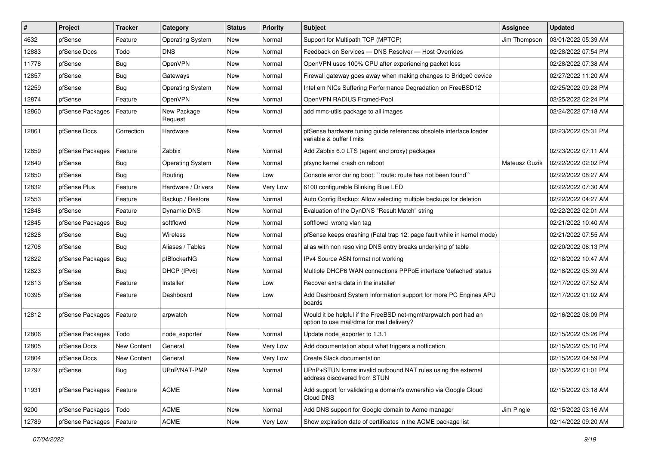| $\vert$ # | Project          | <b>Tracker</b> | Category                | <b>Status</b> | <b>Priority</b> | Subject                                                                                                       | <b>Assignee</b> | <b>Updated</b>      |
|-----------|------------------|----------------|-------------------------|---------------|-----------------|---------------------------------------------------------------------------------------------------------------|-----------------|---------------------|
| 4632      | pfSense          | Feature        | <b>Operating System</b> | New           | Normal          | Support for Multipath TCP (MPTCP)                                                                             | Jim Thompson    | 03/01/2022 05:39 AM |
| 12883     | pfSense Docs     | Todo           | <b>DNS</b>              | New           | Normal          | Feedback on Services - DNS Resolver - Host Overrides                                                          |                 | 02/28/2022 07:54 PM |
| 11778     | pfSense          | Bug            | OpenVPN                 | New           | Normal          | OpenVPN uses 100% CPU after experiencing packet loss                                                          |                 | 02/28/2022 07:38 AM |
| 12857     | pfSense          | Bug            | Gateways                | New           | Normal          | Firewall gateway goes away when making changes to Bridge0 device                                              |                 | 02/27/2022 11:20 AM |
| 12259     | pfSense          | Bug            | <b>Operating System</b> | New           | Normal          | Intel em NICs Suffering Performance Degradation on FreeBSD12                                                  |                 | 02/25/2022 09:28 PM |
| 12874     | pfSense          | Feature        | OpenVPN                 | New           | Normal          | OpenVPN RADIUS Framed-Pool                                                                                    |                 | 02/25/2022 02:24 PM |
| 12860     | pfSense Packages | Feature        | New Package<br>Request  | New           | Normal          | add mmc-utils package to all images                                                                           |                 | 02/24/2022 07:18 AM |
| 12861     | pfSense Docs     | Correction     | Hardware                | New           | Normal          | pfSense hardware tuning guide references obsolete interface loader<br>variable & buffer limits                |                 | 02/23/2022 05:31 PM |
| 12859     | pfSense Packages | Feature        | Zabbix                  | New           | Normal          | Add Zabbix 6.0 LTS (agent and proxy) packages                                                                 |                 | 02/23/2022 07:11 AM |
| 12849     | pfSense          | Bug            | <b>Operating System</b> | New           | Normal          | pfsync kernel crash on reboot                                                                                 | Mateusz Guzik   | 02/22/2022 02:02 PM |
| 12850     | pfSense          | Bug            | Routing                 | <b>New</b>    | Low             | Console error during boot: "route: route has not been found"                                                  |                 | 02/22/2022 08:27 AM |
| 12832     | pfSense Plus     | Feature        | Hardware / Drivers      | New           | Very Low        | 6100 configurable Blinking Blue LED                                                                           |                 | 02/22/2022 07:30 AM |
| 12553     | pfSense          | Feature        | Backup / Restore        | New           | Normal          | Auto Config Backup: Allow selecting multiple backups for deletion                                             |                 | 02/22/2022 04:27 AM |
| 12848     | pfSense          | Feature        | Dynamic DNS             | New           | Normal          | Evaluation of the DynDNS "Result Match" string                                                                |                 | 02/22/2022 02:01 AM |
| 12845     | pfSense Packages | <b>Bug</b>     | softflowd               | New           | Normal          | softflowd wrong vlan tag                                                                                      |                 | 02/21/2022 10:40 AM |
| 12828     | pfSense          | <b>Bug</b>     | <b>Wireless</b>         | <b>New</b>    | Normal          | pfSense keeps crashing (Fatal trap 12: page fault while in kernel mode)                                       |                 | 02/21/2022 07:55 AM |
| 12708     | pfSense          | Bug            | Aliases / Tables        | New           | Normal          | alias with non resolving DNS entry breaks underlying pf table                                                 |                 | 02/20/2022 06:13 PM |
| 12822     | pfSense Packages | <b>Bug</b>     | pfBlockerNG             | New           | Normal          | IPv4 Source ASN format not working                                                                            |                 | 02/18/2022 10:47 AM |
| 12823     | pfSense          | <b>Bug</b>     | DHCP (IPv6)             | New           | Normal          | Multiple DHCP6 WAN connections PPPoE interface 'defached' status                                              |                 | 02/18/2022 05:39 AM |
| 12813     | pfSense          | Feature        | Installer               | New           | Low             | Recover extra data in the installer                                                                           |                 | 02/17/2022 07:52 AM |
| 10395     | pfSense          | Feature        | Dashboard               | New           | Low             | Add Dashboard System Information support for more PC Engines APU<br>boards                                    |                 | 02/17/2022 01:02 AM |
| 12812     | pfSense Packages | Feature        | arpwatch                | New           | Normal          | Would it be helpful if the FreeBSD net-mgmt/arpwatch port had an<br>option to use mail/dma for mail delivery? |                 | 02/16/2022 06:09 PM |
| 12806     | pfSense Packages | Todo           | node_exporter           | New           | Normal          | Update node_exporter to 1.3.1                                                                                 |                 | 02/15/2022 05:26 PM |
| 12805     | pfSense Docs     | New Content    | General                 | New           | Very Low        | Add documentation about what triggers a notfication                                                           |                 | 02/15/2022 05:10 PM |
| 12804     | pfSense Docs     | New Content    | General                 | New           | Very Low        | Create Slack documentation                                                                                    |                 | 02/15/2022 04:59 PM |
| 12797     | pfSense          | <b>Bug</b>     | UPnP/NAT-PMP            | New           | Normal          | UPnP+STUN forms invalid outbound NAT rules using the external<br>address discovered from STUN                 |                 | 02/15/2022 01:01 PM |
| 11931     | pfSense Packages | Feature        | <b>ACME</b>             | New           | Normal          | Add support for validating a domain's ownership via Google Cloud<br>Cloud DNS                                 |                 | 02/15/2022 03:18 AM |
| 9200      | pfSense Packages | Todo           | <b>ACME</b>             | New           | Normal          | Add DNS support for Google domain to Acme manager                                                             | Jim Pingle      | 02/15/2022 03:16 AM |
| 12789     | pfSense Packages | Feature        | ACME                    | New           | Very Low        | Show expiration date of certificates in the ACME package list                                                 |                 | 02/14/2022 09:20 AM |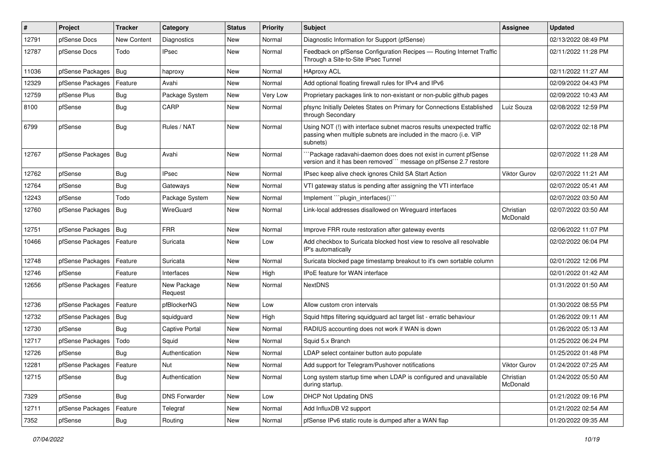| ∦     | Project                    | <b>Tracker</b> | Category               | <b>Status</b> | <b>Priority</b> | Subject                                                                                                                                                | <b>Assignee</b>       | <b>Updated</b>      |
|-------|----------------------------|----------------|------------------------|---------------|-----------------|--------------------------------------------------------------------------------------------------------------------------------------------------------|-----------------------|---------------------|
| 12791 | pfSense Docs               | New Content    | Diagnostics            | New           | Normal          | Diagnostic Information for Support (pfSense)                                                                                                           |                       | 02/13/2022 08:49 PM |
| 12787 | pfSense Docs               | Todo           | <b>IPsec</b>           | New           | Normal          | Feedback on pfSense Configuration Recipes - Routing Internet Traffic<br>Through a Site-to-Site IPsec Tunnel                                            |                       | 02/11/2022 11:28 PM |
| 11036 | pfSense Packages   Bug     |                | haproxy                | New           | Normal          | <b>HAproxy ACL</b>                                                                                                                                     |                       | 02/11/2022 11:27 AM |
| 12329 | pfSense Packages           | Feature        | Avahi                  | New           | Normal          | Add optional floating firewall rules for IPv4 and IPv6                                                                                                 |                       | 02/09/2022 04:43 PM |
| 12759 | pfSense Plus               | <b>Bug</b>     | Package System         | New           | Very Low        | Proprietary packages link to non-existant or non-public github pages                                                                                   |                       | 02/09/2022 10:43 AM |
| 8100  | pfSense                    | <b>Bug</b>     | CARP                   | New           | Normal          | pfsync Initially Deletes States on Primary for Connections Established<br>through Secondary                                                            | Luiz Souza            | 02/08/2022 12:59 PM |
| 6799  | pfSense                    | <b>Bug</b>     | Rules / NAT            | <b>New</b>    | Normal          | Using NOT (!) with interface subnet macros results unexpected traffic<br>passing when multiple subnets are included in the macro (i.e. VIP<br>subnets) |                       | 02/07/2022 02:18 PM |
| 12767 | pfSense Packages   Bug     |                | Avahi                  | New           | Normal          | Package radavahi-daemon does does not exist in current pfSense<br>version and it has been removed"" message on pfSense 2.7 restore                     |                       | 02/07/2022 11:28 AM |
| 12762 | pfSense                    | <b>Bug</b>     | <b>IPsec</b>           | New           | Normal          | IPsec keep alive check ignores Child SA Start Action                                                                                                   | Viktor Gurov          | 02/07/2022 11:21 AM |
| 12764 | pfSense                    | Bug            | Gateways               | New           | Normal          | VTI gateway status is pending after assigning the VTI interface                                                                                        |                       | 02/07/2022 05:41 AM |
| 12243 | pfSense                    | Todo           | Package System         | <b>New</b>    | Normal          | Implement "``plugin_interfaces()```                                                                                                                    |                       | 02/07/2022 03:50 AM |
| 12760 | pfSense Packages           | Bug            | WireGuard              | New           | Normal          | Link-local addresses disallowed on Wireguard interfaces                                                                                                | Christian<br>McDonald | 02/07/2022 03:50 AM |
| 12751 | pfSense Packages           | Bug            | <b>FRR</b>             | New           | Normal          | Improve FRR route restoration after gateway events                                                                                                     |                       | 02/06/2022 11:07 PM |
| 10466 | pfSense Packages           | Feature        | Suricata               | New           | Low             | Add checkbox to Suricata blocked host view to resolve all resolvable<br>IP's automatically                                                             |                       | 02/02/2022 06:04 PM |
| 12748 | pfSense Packages           | Feature        | Suricata               | New           | Normal          | Suricata blocked page timestamp breakout to it's own sortable column                                                                                   |                       | 02/01/2022 12:06 PM |
| 12746 | pfSense                    | Feature        | Interfaces             | New           | High            | IPoE feature for WAN interface                                                                                                                         |                       | 02/01/2022 01:42 AM |
| 12656 | pfSense Packages           | Feature        | New Package<br>Request | <b>New</b>    | Normal          | <b>NextDNS</b>                                                                                                                                         |                       | 01/31/2022 01:50 AM |
| 12736 | pfSense Packages           | Feature        | pfBlockerNG            | New           | Low             | Allow custom cron intervals                                                                                                                            |                       | 01/30/2022 08:55 PM |
| 12732 | pfSense Packages           | Bug            | squidguard             | New           | High            | Squid https filtering squidguard acl target list - erratic behaviour                                                                                   |                       | 01/26/2022 09:11 AM |
| 12730 | pfSense                    | <b>Bug</b>     | Captive Portal         | New           | Normal          | RADIUS accounting does not work if WAN is down                                                                                                         |                       | 01/26/2022 05:13 AM |
| 12717 | pfSense Packages           | Todo           | Squid                  | New           | Normal          | Squid 5.x Branch                                                                                                                                       |                       | 01/25/2022 06:24 PM |
| 12726 | pfSense                    | <b>Bug</b>     | Authentication         | New           | Normal          | LDAP select container button auto populate                                                                                                             |                       | 01/25/2022 01:48 PM |
| 12281 | pfSense Packages   Feature |                | Nut                    | New           | Normal          | Add support for Telegram/Pushover notifications                                                                                                        | Viktor Gurov          | 01/24/2022 07:25 AM |
| 12715 | pfSense                    | Bug            | Authentication         | New           | Normal          | Long system startup time when LDAP is configured and unavailable<br>during startup.                                                                    | Christian<br>McDonald | 01/24/2022 05:50 AM |
| 7329  | pfSense                    | Bug            | <b>DNS Forwarder</b>   | New           | Low             | <b>DHCP Not Updating DNS</b>                                                                                                                           |                       | 01/21/2022 09:16 PM |
| 12711 | pfSense Packages           | Feature        | Telegraf               | New           | Normal          | Add InfluxDB V2 support                                                                                                                                |                       | 01/21/2022 02:54 AM |
| 7352  | pfSense                    | Bug            | Routing                | New           | Normal          | pfSense IPv6 static route is dumped after a WAN flap                                                                                                   |                       | 01/20/2022 09:35 AM |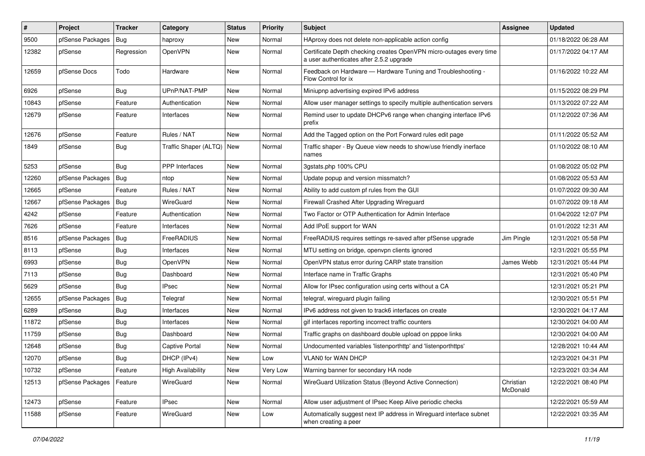| $\vert$ # | Project          | <b>Tracker</b> | Category                 | <b>Status</b> | <b>Priority</b> | Subject                                                                                                         | <b>Assignee</b>       | <b>Updated</b>      |
|-----------|------------------|----------------|--------------------------|---------------|-----------------|-----------------------------------------------------------------------------------------------------------------|-----------------------|---------------------|
| 9500      | pfSense Packages | Bug            | haproxy                  | New           | Normal          | HAproxy does not delete non-applicable action config                                                            |                       | 01/18/2022 06:28 AM |
| 12382     | pfSense          | Regression     | OpenVPN                  | New           | Normal          | Certificate Depth checking creates OpenVPN micro-outages every time<br>a user authenticates after 2.5.2 upgrade |                       | 01/17/2022 04:17 AM |
| 12659     | pfSense Docs     | Todo           | Hardware                 | <b>New</b>    | Normal          | Feedback on Hardware - Hardware Tuning and Troubleshooting -<br>Flow Control for ix                             |                       | 01/16/2022 10:22 AM |
| 6926      | pfSense          | Bug            | UPnP/NAT-PMP             | New           | Normal          | Miniupnp advertising expired IPv6 address                                                                       |                       | 01/15/2022 08:29 PM |
| 10843     | pfSense          | Feature        | Authentication           | New           | Normal          | Allow user manager settings to specify multiple authentication servers                                          |                       | 01/13/2022 07:22 AM |
| 12679     | pfSense          | Feature        | Interfaces               | New           | Normal          | Remind user to update DHCPv6 range when changing interface IPv6<br>prefix                                       |                       | 01/12/2022 07:36 AM |
| 12676     | pfSense          | Feature        | Rules / NAT              | <b>New</b>    | Normal          | Add the Tagged option on the Port Forward rules edit page                                                       |                       | 01/11/2022 05:52 AM |
| 1849      | pfSense          | <b>Bug</b>     | Traffic Shaper (ALTQ)    | <b>New</b>    | Normal          | Traffic shaper - By Queue view needs to show/use friendly inerface<br>names                                     |                       | 01/10/2022 08:10 AM |
| 5253      | pfSense          | <b>Bug</b>     | PPP Interfaces           | <b>New</b>    | Normal          | 3gstats.php 100% CPU                                                                                            |                       | 01/08/2022 05:02 PM |
| 12260     | pfSense Packages | <b>Bug</b>     | ntop                     | New           | Normal          | Update popup and version missmatch?                                                                             |                       | 01/08/2022 05:53 AM |
| 12665     | pfSense          | Feature        | Rules / NAT              | New           | Normal          | Ability to add custom pf rules from the GUI                                                                     |                       | 01/07/2022 09:30 AM |
| 12667     | pfSense Packages | Bug            | WireGuard                | New           | Normal          | Firewall Crashed After Upgrading Wireguard                                                                      |                       | 01/07/2022 09:18 AM |
| 4242      | pfSense          | Feature        | Authentication           | New           | Normal          | Two Factor or OTP Authentication for Admin Interface                                                            |                       | 01/04/2022 12:07 PM |
| 7626      | pfSense          | Feature        | Interfaces               | New           | Normal          | Add IPoE support for WAN                                                                                        |                       | 01/01/2022 12:31 AM |
| 8516      | pfSense Packages | <b>Bug</b>     | FreeRADIUS               | New           | Normal          | FreeRADIUS requires settings re-saved after pfSense upgrade                                                     | Jim Pingle            | 12/31/2021 05:58 PM |
| 8113      | pfSense          | Bug            | Interfaces               | New           | Normal          | MTU setting on bridge, openvpn clients ignored                                                                  |                       | 12/31/2021 05:55 PM |
| 6993      | pfSense          | Bug            | OpenVPN                  | <b>New</b>    | Normal          | OpenVPN status error during CARP state transition                                                               | James Webb            | 12/31/2021 05:44 PM |
| 7113      | pfSense          | <b>Bug</b>     | Dashboard                | New           | Normal          | Interface name in Traffic Graphs                                                                                |                       | 12/31/2021 05:40 PM |
| 5629      | pfSense          | Bug            | <b>IPsec</b>             | New           | Normal          | Allow for IPsec configuration using certs without a CA                                                          |                       | 12/31/2021 05:21 PM |
| 12655     | pfSense Packages | <b>Bug</b>     | Telegraf                 | New           | Normal          | telegraf, wireguard plugin failing                                                                              |                       | 12/30/2021 05:51 PM |
| 6289      | pfSense          | <b>Bug</b>     | Interfaces               | New           | Normal          | IPv6 address not given to track6 interfaces on create                                                           |                       | 12/30/2021 04:17 AM |
| 11872     | pfSense          | Bug            | Interfaces               | <b>New</b>    | Normal          | gif interfaces reporting incorrect traffic counters                                                             |                       | 12/30/2021 04:00 AM |
| 11759     | pfSense          | <b>Bug</b>     | Dashboard                | <b>New</b>    | Normal          | Traffic graphs on dashboard double upload on pppoe links                                                        |                       | 12/30/2021 04:00 AM |
| 12648     | pfSense          | Bug            | <b>Captive Portal</b>    | New           | Normal          | Undocumented variables 'listenporthttp' and 'listenporthttps'                                                   |                       | 12/28/2021 10:44 AM |
| 12070     | pfSense          | <b>Bug</b>     | DHCP (IPv4)              | <b>New</b>    | Low             | VLAN0 for WAN DHCP                                                                                              |                       | 12/23/2021 04:31 PM |
| 10732     | pfSense          | Feature        | <b>High Availability</b> | New           | Very Low        | Warning banner for secondary HA node                                                                            |                       | 12/23/2021 03:34 AM |
| 12513     | pfSense Packages | Feature        | WireGuard                | New           | Normal          | WireGuard Utilization Status (Beyond Active Connection)                                                         | Christian<br>McDonald | 12/22/2021 08:40 PM |
| 12473     | pfSense          | Feature        | <b>IPsec</b>             | New           | Normal          | Allow user adjustment of IPsec Keep Alive periodic checks                                                       |                       | 12/22/2021 05:59 AM |
| 11588     | pfSense          | Feature        | WireGuard                | New           | Low             | Automatically suggest next IP address in Wireguard interface subnet<br>when creating a peer                     |                       | 12/22/2021 03:35 AM |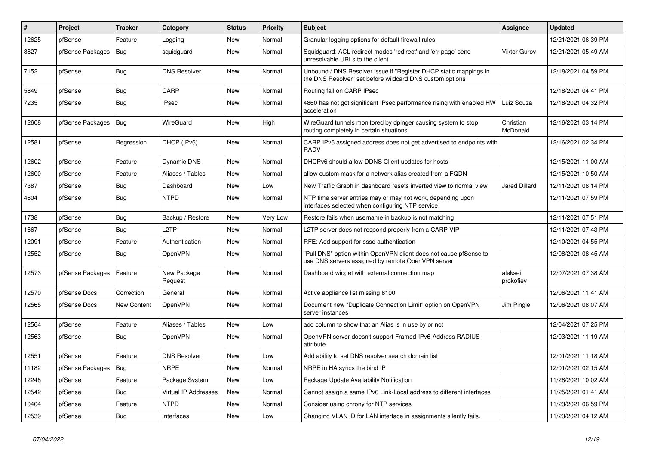| ∦     | Project          | <b>Tracker</b> | Category               | <b>Status</b> | <b>Priority</b> | <b>Subject</b>                                                                                                                | <b>Assignee</b>       | <b>Updated</b>      |
|-------|------------------|----------------|------------------------|---------------|-----------------|-------------------------------------------------------------------------------------------------------------------------------|-----------------------|---------------------|
| 12625 | pfSense          | Feature        | Logging                | <b>New</b>    | Normal          | Granular logging options for default firewall rules.                                                                          |                       | 12/21/2021 06:39 PM |
| 8827  | pfSense Packages | Bug            | squidguard             | <b>New</b>    | Normal          | Squidguard: ACL redirect modes 'redirect' and 'err page' send<br>unresolvable URLs to the client.                             | <b>Viktor Gurov</b>   | 12/21/2021 05:49 AM |
| 7152  | pfSense          | Bug            | <b>DNS Resolver</b>    | New           | Normal          | Unbound / DNS Resolver issue if "Register DHCP static mappings in<br>the DNS Resolver" set before wildcard DNS custom options |                       | 12/18/2021 04:59 PM |
| 5849  | pfSense          | Bug            | CARP                   | New           | Normal          | Routing fail on CARP IPsec                                                                                                    |                       | 12/18/2021 04:41 PM |
| 7235  | pfSense          | Bug            | <b>IPsec</b>           | <b>New</b>    | Normal          | 4860 has not got significant IPsec performance rising with enabled HW<br>acceleration                                         | Luiz Souza            | 12/18/2021 04:32 PM |
| 12608 | pfSense Packages | $ $ Bug        | WireGuard              | New           | High            | WireGuard tunnels monitored by dpinger causing system to stop<br>routing completely in certain situations                     | Christian<br>McDonald | 12/16/2021 03:14 PM |
| 12581 | pfSense          | Regression     | DHCP (IPv6)            | New           | Normal          | CARP IPv6 assigned address does not get advertised to endpoints with<br><b>RADV</b>                                           |                       | 12/16/2021 02:34 PM |
| 12602 | pfSense          | Feature        | <b>Dynamic DNS</b>     | New           | Normal          | DHCPv6 should allow DDNS Client updates for hosts                                                                             |                       | 12/15/2021 11:00 AM |
| 12600 | pfSense          | Feature        | Aliases / Tables       | New           | Normal          | allow custom mask for a network alias created from a FQDN                                                                     |                       | 12/15/2021 10:50 AM |
| 7387  | pfSense          | <b>Bug</b>     | Dashboard              | <b>New</b>    | Low             | New Traffic Graph in dashboard resets inverted view to normal view                                                            | <b>Jared Dillard</b>  | 12/11/2021 08:14 PM |
| 4604  | pfSense          | Bug            | <b>NTPD</b>            | <b>New</b>    | Normal          | NTP time server entries may or may not work, depending upon<br>interfaces selected when configuring NTP service               |                       | 12/11/2021 07:59 PM |
| 1738  | pfSense          | <b>Bug</b>     | Backup / Restore       | New           | Very Low        | Restore fails when username in backup is not matching                                                                         |                       | 12/11/2021 07:51 PM |
| 1667  | pfSense          | Bug            | L2TP                   | New           | Normal          | L2TP server does not respond properly from a CARP VIP                                                                         |                       | 12/11/2021 07:43 PM |
| 12091 | pfSense          | Feature        | Authentication         | <b>New</b>    | Normal          | RFE: Add support for sssd authentication                                                                                      |                       | 12/10/2021 04:55 PM |
| 12552 | pfSense          | Bug            | OpenVPN                | <b>New</b>    | Normal          | 'Pull DNS" option within OpenVPN client does not cause pfSense to<br>use DNS servers assigned by remote OpenVPN server        |                       | 12/08/2021 08:45 AM |
| 12573 | pfSense Packages | Feature        | New Package<br>Request | New           | Normal          | Dashboard widget with external connection map                                                                                 | aleksei<br>prokofiev  | 12/07/2021 07:38 AM |
| 12570 | pfSense Docs     | Correction     | General                | <b>New</b>    | Normal          | Active appliance list missing 6100                                                                                            |                       | 12/06/2021 11:41 AM |
| 12565 | pfSense Docs     | New Content    | OpenVPN                | <b>New</b>    | Normal          | Document new "Duplicate Connection Limit" option on OpenVPN<br>server instances                                               | Jim Pingle            | 12/06/2021 08:07 AM |
| 12564 | pfSense          | Feature        | Aliases / Tables       | New           | Low             | add column to show that an Alias is in use by or not                                                                          |                       | 12/04/2021 07:25 PM |
| 12563 | pfSense          | <b>Bug</b>     | OpenVPN                | New           | Normal          | OpenVPN server doesn't support Framed-IPv6-Address RADIUS<br>attribute                                                        |                       | 12/03/2021 11:19 AM |
| 12551 | pfSense          | Feature        | <b>DNS Resolver</b>    | New           | Low             | Add ability to set DNS resolver search domain list                                                                            |                       | 12/01/2021 11:18 AM |
| 11182 | pfSense Packages | Bug            | <b>NRPE</b>            | New           | Normal          | NRPE in HA syncs the bind IP                                                                                                  |                       | 12/01/2021 02:15 AM |
| 12248 | pfSense          | Feature        | Package System         | New           | Low             | Package Update Availability Notification                                                                                      |                       | 11/28/2021 10:02 AM |
| 12542 | pfSense          | Bug            | Virtual IP Addresses   | New           | Normal          | Cannot assign a same IPv6 Link-Local address to different interfaces                                                          |                       | 11/25/2021 01:41 AM |
| 10404 | pfSense          | Feature        | <b>NTPD</b>            | New           | Normal          | Consider using chrony for NTP services                                                                                        |                       | 11/23/2021 06:59 PM |
| 12539 | pfSense          | Bug            | Interfaces             | New           | Low             | Changing VLAN ID for LAN interface in assignments silently fails.                                                             |                       | 11/23/2021 04:12 AM |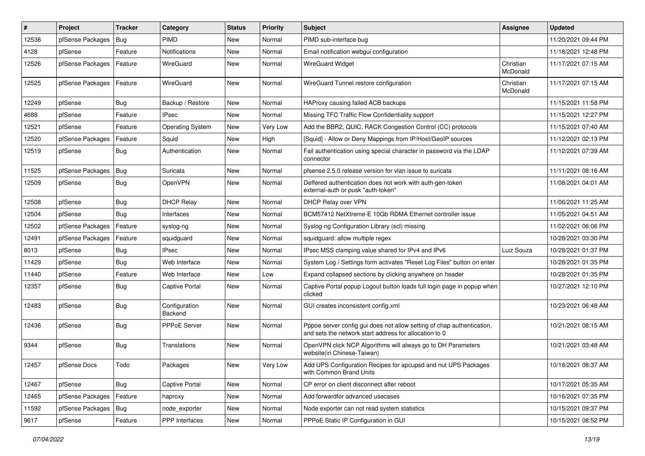| $\vert$ # | Project          | <b>Tracker</b> | Category                 | <b>Status</b> | <b>Priority</b> | Subject                                                                                                                          | <b>Assignee</b>       | <b>Updated</b>      |
|-----------|------------------|----------------|--------------------------|---------------|-----------------|----------------------------------------------------------------------------------------------------------------------------------|-----------------------|---------------------|
| 12538     | pfSense Packages | Bug            | PIMD                     | New           | Normal          | PIMD sub-interface bug                                                                                                           |                       | 11/20/2021 09:44 PM |
| 4128      | pfSense          | Feature        | Notifications            | New           | Normal          | Email notification webgui configuration                                                                                          |                       | 11/18/2021 12:48 PM |
| 12526     | pfSense Packages | Feature        | WireGuard                | New           | Normal          | WireGuard Widget                                                                                                                 | Christian<br>McDonald | 11/17/2021 07:15 AM |
| 12525     | pfSense Packages | Feature        | WireGuard                | New           | Normal          | WireGuard Tunnel restore configuration                                                                                           | Christian<br>McDonald | 11/17/2021 07:15 AM |
| 12249     | pfSense          | <b>Bug</b>     | Backup / Restore         | New           | Normal          | HAProxy causing failed ACB backups                                                                                               |                       | 11/15/2021 11:58 PM |
| 4688      | pfSense          | Feature        | <b>IPsec</b>             | New           | Normal          | Missing TFC Traffic Flow Confidentiality support                                                                                 |                       | 11/15/2021 12:27 PM |
| 12521     | pfSense          | Feature        | <b>Operating System</b>  | New           | Very Low        | Add the BBR2, QUIC, RACK Congestion Control (CC) protocols                                                                       |                       | 11/15/2021 07:40 AM |
| 12520     | pfSense Packages | Feature        | Squid                    | New           | High            | [Squid] - Allow or Deny Mappings from IP/Host/GeoIP sources                                                                      |                       | 11/12/2021 02:13 PM |
| 12519     | pfSense          | Bug            | Authentication           | New           | Normal          | Fail authentication using special character in password via the LDAP<br>connector                                                |                       | 11/12/2021 07:39 AM |
| 11525     | pfSense Packages | Bug            | Suricata                 | New           | Normal          | pfsense 2.5.0 release version for vlan issue to suricata                                                                         |                       | 11/11/2021 08:16 AM |
| 12509     | pfSense          | <b>Bug</b>     | OpenVPN                  | New           | Normal          | Deffered authentication does not work with auth-gen-token<br>external-auth or pusk "auth-token"                                  |                       | 11/08/2021 04:01 AM |
| 12508     | pfSense          | <b>Bug</b>     | <b>DHCP Relay</b>        | New           | Normal          | DHCP Relay over VPN                                                                                                              |                       | 11/06/2021 11:25 AM |
| 12504     | pfSense          | Bug            | Interfaces               | New           | Normal          | BCM57412 NetXtreme-E 10Gb RDMA Ethernet controller issue                                                                         |                       | 11/05/2021 04:51 AM |
| 12502     | pfSense Packages | Feature        | syslog-ng                | New           | Normal          | Syslog-ng Configuration Library (scl) missing                                                                                    |                       | 11/02/2021 06:06 PM |
| 12491     | pfSense Packages | Feature        | squidguard               | New           | Normal          | squidguard: allow multiple regex                                                                                                 |                       | 10/28/2021 03:30 PM |
| 8013      | pfSense          | <b>Bug</b>     | <b>IPsec</b>             | New           | Normal          | IPsec MSS clamping value shared for IPv4 and IPv6                                                                                | Luiz Souza            | 10/28/2021 01:37 PM |
| 11429     | pfSense          | Bug            | Web Interface            | New           | Normal          | System Log / Settings form activates "Reset Log Files" button on enter                                                           |                       | 10/28/2021 01:35 PM |
| 11440     | pfSense          | Feature        | Web Interface            | New           | Low             | Expand collapsed sections by clicking anywhere on header                                                                         |                       | 10/28/2021 01:35 PM |
| 12357     | pfSense          | <b>Bug</b>     | Captive Portal           | New           | Normal          | Captive Portal popup Logout button loads full login page in popup when<br>clicked                                                |                       | 10/27/2021 12:10 PM |
| 12483     | pfSense          | <b>Bug</b>     | Configuration<br>Backend | New           | Normal          | GUI creates inconsistent config.xml                                                                                              |                       | 10/23/2021 06:48 AM |
| 12436     | pfSense          | <b>Bug</b>     | <b>PPPoE Server</b>      | New           | Normal          | Pppoe server config gui does not allow setting of chap authentication,<br>and sets the network start address for allocation to 0 |                       | 10/21/2021 08:15 AM |
| 9344      | pfSense          | Bug            | Translations             | New           | Normal          | OpenVPN click NCP Algorithms will always go to DH Parameters<br>website(in Chinese-Taiwan)                                       |                       | 10/21/2021 03:48 AM |
| 12457     | pfSense Docs     | Todo           | Packages                 | New           | Very Low        | Add UPS Configuration Recipes for apcupsd and nut UPS Packages<br>with Common Brand Units                                        |                       | 10/18/2021 08:37 AM |
| 12467     | pfSense          | Bug            | Captive Portal           | New           | Normal          | CP error on client disconnect after reboot                                                                                       |                       | 10/17/2021 05:35 AM |
| 12465     | pfSense Packages | Feature        | haproxy                  | New           | Normal          | Add forwardfor advanced usecases                                                                                                 |                       | 10/16/2021 07:35 PM |
| 11592     | pfSense Packages | Bug            | node_exporter            | New           | Normal          | Node exporter can not read system statistics                                                                                     |                       | 10/15/2021 09:37 PM |
| 9617      | pfSense          | Feature        | PPP Interfaces           | New           | Normal          | PPPoE Static IP Configuration in GUI                                                                                             |                       | 10/15/2021 08:52 PM |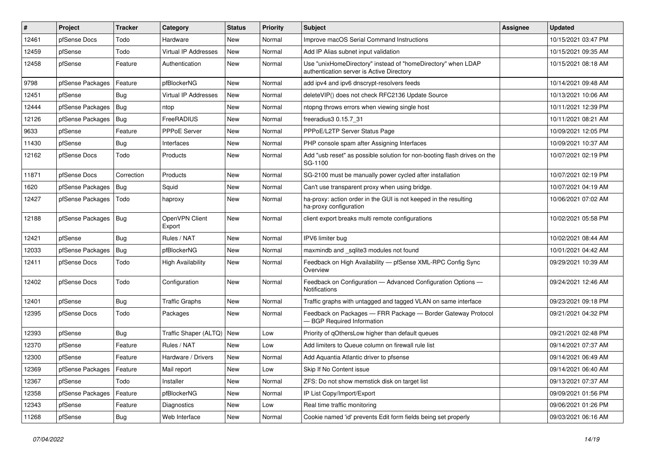| $\vert$ # | <b>Project</b>             | <b>Tracker</b> | Category                 | <b>Status</b> | <b>Priority</b> | <b>Subject</b>                                                                                            | <b>Assignee</b> | <b>Updated</b>      |
|-----------|----------------------------|----------------|--------------------------|---------------|-----------------|-----------------------------------------------------------------------------------------------------------|-----------------|---------------------|
| 12461     | pfSense Docs               | Todo           | Hardware                 | New           | Normal          | Improve macOS Serial Command Instructions                                                                 |                 | 10/15/2021 03:47 PM |
| 12459     | pfSense                    | Todo           | Virtual IP Addresses     | <b>New</b>    | Normal          | Add IP Alias subnet input validation                                                                      |                 | 10/15/2021 09:35 AM |
| 12458     | pfSense                    | Feature        | Authentication           | New           | Normal          | Use "unixHomeDirectory" instead of "homeDirectory" when LDAP<br>authentication server is Active Directory |                 | 10/15/2021 08:18 AM |
| 9798      | pfSense Packages           | Feature        | pfBlockerNG              | New           | Normal          | add ipv4 and ipv6 dnscrypt-resolvers feeds                                                                |                 | 10/14/2021 09:48 AM |
| 12451     | pfSense                    | Bug            | Virtual IP Addresses     | New           | Normal          | deleteVIP() does not check RFC2136 Update Source                                                          |                 | 10/13/2021 10:06 AM |
| 12444     | pfSense Packages           | Bug            | ntop                     | New           | Normal          | ntopng throws errors when viewing single host                                                             |                 | 10/11/2021 12:39 PM |
| 12126     | pfSense Packages           | Bug            | FreeRADIUS               | New           | Normal          | freeradius3 0.15.7 31                                                                                     |                 | 10/11/2021 08:21 AM |
| 9633      | pfSense                    | Feature        | PPPoE Server             | New           | Normal          | PPPoE/L2TP Server Status Page                                                                             |                 | 10/09/2021 12:05 PM |
| 11430     | pfSense                    | <b>Bug</b>     | Interfaces               | New           | Normal          | PHP console spam after Assigning Interfaces                                                               |                 | 10/09/2021 10:37 AM |
| 12162     | pfSense Docs               | Todo           | Products                 | New           | Normal          | Add "usb reset" as possible solution for non-booting flash drives on the<br>SG-1100                       |                 | 10/07/2021 02:19 PM |
| 11871     | pfSense Docs               | Correction     | Products                 | New           | Normal          | SG-2100 must be manually power cycled after installation                                                  |                 | 10/07/2021 02:19 PM |
| 1620      | pfSense Packages           | Bug            | Squid                    | New           | Normal          | Can't use transparent proxy when using bridge.                                                            |                 | 10/07/2021 04:19 AM |
| 12427     | pfSense Packages           | Todo           | haproxy                  | New           | Normal          | ha-proxy: action order in the GUI is not keeped in the resulting<br>ha-proxy configuration                |                 | 10/06/2021 07:02 AM |
| 12188     | pfSense Packages           | $\vert$ Bug    | OpenVPN Client<br>Export | <b>New</b>    | Normal          | client export breaks multi remote configurations                                                          |                 | 10/02/2021 05:58 PM |
| 12421     | pfSense                    | Bug            | Rules / NAT              | New           | Normal          | IPV6 limiter bug                                                                                          |                 | 10/02/2021 08:44 AM |
| 12033     | pfSense Packages           | Bug            | pfBlockerNG              | New           | Normal          | maxmindb and _sqlite3 modules not found                                                                   |                 | 10/01/2021 04:42 AM |
| 12411     | pfSense Docs               | Todo           | <b>High Availability</b> | New           | Normal          | Feedback on High Availability - pfSense XML-RPC Config Sync<br>Overview                                   |                 | 09/29/2021 10:39 AM |
| 12402     | pfSense Docs               | Todo           | Configuration            | New           | Normal          | Feedback on Configuration - Advanced Configuration Options -<br><b>Notifications</b>                      |                 | 09/24/2021 12:46 AM |
| 12401     | pfSense                    | Bug            | <b>Traffic Graphs</b>    | New           | Normal          | Traffic graphs with untagged and tagged VLAN on same interface                                            |                 | 09/23/2021 09:18 PM |
| 12395     | pfSense Docs               | Todo           | Packages                 | New           | Normal          | Feedback on Packages - FRR Package - Border Gateway Protocol<br>- BGP Required Information                |                 | 09/21/2021 04:32 PM |
| 12393     | pfSense                    | Bug            | Traffic Shaper (ALTQ)    | <b>New</b>    | Low             | Priority of qOthersLow higher than default queues                                                         |                 | 09/21/2021 02:48 PM |
| 12370     | pfSense                    | Feature        | Rules / NAT              | New           | Low             | Add limiters to Queue column on firewall rule list                                                        |                 | 09/14/2021 07:37 AM |
| 12300     | pfSense                    | Feature        | Hardware / Drivers       | New           | Normal          | Add Aquantia Atlantic driver to pfsense                                                                   |                 | 09/14/2021 06:49 AM |
| 12369     | pfSense Packages   Feature |                | Mail report              | New           | Low             | Skip If No Content issue                                                                                  |                 | 09/14/2021 06:40 AM |
| 12367     | pfSense                    | Todo           | Installer                | New           | Normal          | ZFS: Do not show memstick disk on target list                                                             |                 | 09/13/2021 07:37 AM |
| 12358     | pfSense Packages           | Feature        | pfBlockerNG              | New           | Normal          | IP List Copy/Import/Export                                                                                |                 | 09/09/2021 01:56 PM |
| 12343     | pfSense                    | Feature        | Diagnostics              | New           | Low             | Real time traffic monitoring                                                                              |                 | 09/06/2021 01:26 PM |
| 11268     | pfSense                    | <b>Bug</b>     | Web Interface            | New           | Normal          | Cookie named 'id' prevents Edit form fields being set properly                                            |                 | 09/03/2021 06:16 AM |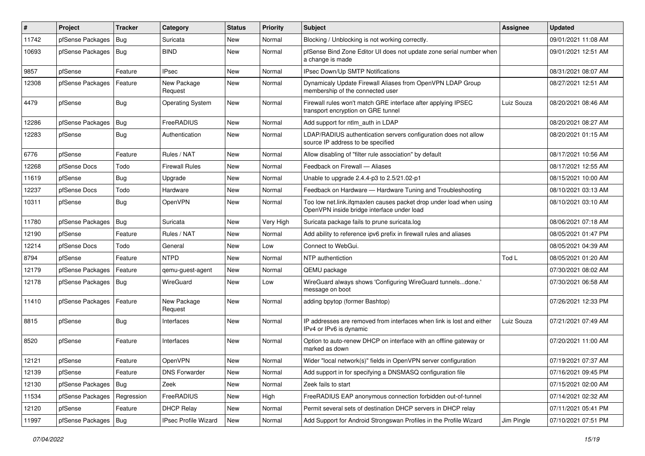| #     | Project                | <b>Tracker</b> | Category                | <b>Status</b> | <b>Priority</b> | Subject                                                                                                           | <b>Assignee</b> | <b>Updated</b>      |
|-------|------------------------|----------------|-------------------------|---------------|-----------------|-------------------------------------------------------------------------------------------------------------------|-----------------|---------------------|
| 11742 | pfSense Packages       | <b>Bug</b>     | Suricata                | New           | Normal          | Blocking / Unblocking is not working correctly.                                                                   |                 | 09/01/2021 11:08 AM |
| 10693 | pfSense Packages       | Bug            | <b>BIND</b>             | New           | Normal          | pfSense Bind Zone Editor UI does not update zone serial number when<br>a change is made                           |                 | 09/01/2021 12:51 AM |
| 9857  | pfSense                | Feature        | <b>IPsec</b>            | New           | Normal          | IPsec Down/Up SMTP Notifications                                                                                  |                 | 08/31/2021 08:07 AM |
| 12308 | pfSense Packages       | Feature        | New Package<br>Request  | New           | Normal          | Dynamicaly Update Firewall Aliases from OpenVPN LDAP Group<br>membership of the connected user                    |                 | 08/27/2021 12:51 AM |
| 4479  | pfSense                | <b>Bug</b>     | <b>Operating System</b> | New           | Normal          | Firewall rules won't match GRE interface after applying IPSEC<br>transport encryption on GRE tunnel               | Luiz Souza      | 08/20/2021 08:46 AM |
| 12286 | pfSense Packages       | Bug            | FreeRADIUS              | New           | Normal          | Add support for ntlm_auth in LDAP                                                                                 |                 | 08/20/2021 08:27 AM |
| 12283 | pfSense                | Bug            | Authentication          | New           | Normal          | LDAP/RADIUS authentication servers configuration does not allow<br>source IP address to be specified              |                 | 08/20/2021 01:15 AM |
| 6776  | pfSense                | Feature        | Rules / NAT             | New           | Normal          | Allow disabling of "filter rule association" by default                                                           |                 | 08/17/2021 10:56 AM |
| 12268 | pfSense Docs           | Todo           | <b>Firewall Rules</b>   | New           | Normal          | Feedback on Firewall - Aliases                                                                                    |                 | 08/17/2021 12:55 AM |
| 11619 | pfSense                | <b>Bug</b>     | Upgrade                 | New           | Normal          | Unable to upgrade 2.4.4-p3 to 2.5/21.02-p1                                                                        |                 | 08/15/2021 10:00 AM |
| 12237 | pfSense Docs           | Todo           | Hardware                | New           | Normal          | Feedback on Hardware - Hardware Tuning and Troubleshooting                                                        |                 | 08/10/2021 03:13 AM |
| 10311 | pfSense                | Bug            | OpenVPN                 | New           | Normal          | Too low net.link.ifgmaxlen causes packet drop under load when using<br>OpenVPN inside bridge interface under load |                 | 08/10/2021 03:10 AM |
| 11780 | pfSense Packages       | Bug            | Suricata                | New           | Very High       | Suricata package fails to prune suricata.log                                                                      |                 | 08/06/2021 07:18 AM |
| 12190 | pfSense                | Feature        | Rules / NAT             | New           | Normal          | Add ability to reference ipv6 prefix in firewall rules and aliases                                                |                 | 08/05/2021 01:47 PM |
| 12214 | pfSense Docs           | Todo           | General                 | New           | Low             | Connect to WebGui.                                                                                                |                 | 08/05/2021 04:39 AM |
| 8794  | pfSense                | Feature        | <b>NTPD</b>             | New           | Normal          | NTP authentiction                                                                                                 | Tod L           | 08/05/2021 01:20 AM |
| 12179 | pfSense Packages       | Feature        | gemu-guest-agent        | New           | Normal          | QEMU package                                                                                                      |                 | 07/30/2021 08:02 AM |
| 12178 | pfSense Packages       | Bug            | WireGuard               | New           | Low             | WireGuard always shows 'Configuring WireGuard tunnelsdone.'<br>message on boot                                    |                 | 07/30/2021 06:58 AM |
| 11410 | pfSense Packages       | Feature        | New Package<br>Request  | New           | Normal          | adding bpytop (former Bashtop)                                                                                    |                 | 07/26/2021 12:33 PM |
| 8815  | pfSense                | <b>Bug</b>     | Interfaces              | New           | Normal          | IP addresses are removed from interfaces when link is lost and either<br>IPv4 or IPv6 is dynamic                  | Luiz Souza      | 07/21/2021 07:49 AM |
| 8520  | pfSense                | Feature        | Interfaces              | New           | Normal          | Option to auto-renew DHCP on interface with an offline gateway or<br>marked as down                               |                 | 07/20/2021 11:00 AM |
| 12121 | pfSense                | Feature        | OpenVPN                 | New           | Normal          | Wider "local network(s)" fields in OpenVPN server configuration                                                   |                 | 07/19/2021 07:37 AM |
| 12139 | pfSense                | Feature        | <b>DNS Forwarder</b>    | New           | Normal          | Add support in for specifying a DNSMASQ configuration file                                                        |                 | 07/16/2021 09:45 PM |
| 12130 | pfSense Packages       | Bug            | Zeek                    | New           | Normal          | Zeek fails to start                                                                                               |                 | 07/15/2021 02:00 AM |
| 11534 | pfSense Packages       | Regression     | FreeRADIUS              | New           | High            | FreeRADIUS EAP anonymous connection forbidden out-of-tunnel                                                       |                 | 07/14/2021 02:32 AM |
| 12120 | pfSense                | Feature        | <b>DHCP Relay</b>       | New           | Normal          | Permit several sets of destination DHCP servers in DHCP relay                                                     |                 | 07/11/2021 05:41 PM |
| 11997 | pfSense Packages   Bug |                | IPsec Profile Wizard    | New           | Normal          | Add Support for Android Strongswan Profiles in the Profile Wizard                                                 | Jim Pingle      | 07/10/2021 07:51 PM |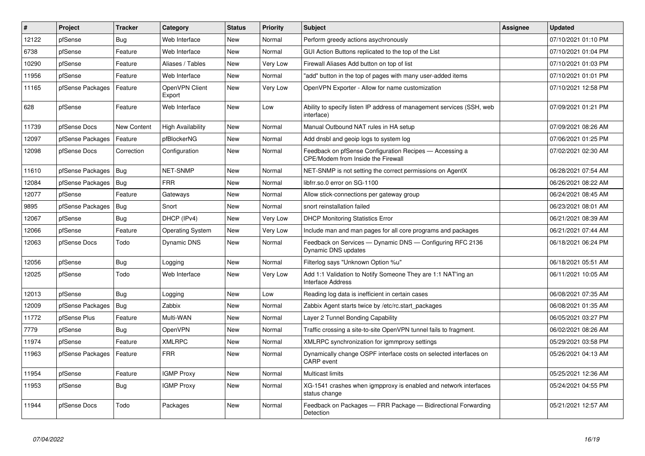| #     | Project          | <b>Tracker</b> | Category                 | <b>Status</b> | <b>Priority</b> | <b>Subject</b>                                                                                | <b>Assignee</b> | <b>Updated</b>      |
|-------|------------------|----------------|--------------------------|---------------|-----------------|-----------------------------------------------------------------------------------------------|-----------------|---------------------|
| 12122 | pfSense          | <b>Bug</b>     | Web Interface            | <b>New</b>    | Normal          | Perform greedy actions asychronously                                                          |                 | 07/10/2021 01:10 PM |
| 6738  | pfSense          | Feature        | Web Interface            | New           | Normal          | GUI Action Buttons replicated to the top of the List                                          |                 | 07/10/2021 01:04 PM |
| 10290 | pfSense          | Feature        | Aliases / Tables         | New           | Very Low        | Firewall Aliases Add button on top of list                                                    |                 | 07/10/2021 01:03 PM |
| 11956 | pfSense          | Feature        | Web Interface            | New           | Normal          | 'add" button in the top of pages with many user-added items                                   |                 | 07/10/2021 01:01 PM |
| 11165 | pfSense Packages | Feature        | OpenVPN Client<br>Export | <b>New</b>    | Very Low        | OpenVPN Exporter - Allow for name customization                                               |                 | 07/10/2021 12:58 PM |
| 628   | pfSense          | Feature        | Web Interface            | New           | Low             | Ability to specify listen IP address of management services (SSH, web<br>interface)           |                 | 07/09/2021 01:21 PM |
| 11739 | pfSense Docs     | New Content    | <b>High Availability</b> | New           | Normal          | Manual Outbound NAT rules in HA setup                                                         |                 | 07/09/2021 08:26 AM |
| 12097 | pfSense Packages | Feature        | pfBlockerNG              | New           | Normal          | Add dnsbl and geoip logs to system log                                                        |                 | 07/06/2021 01:25 PM |
| 12098 | pfSense Docs     | Correction     | Configuration            | New           | Normal          | Feedback on pfSense Configuration Recipes - Accessing a<br>CPE/Modem from Inside the Firewall |                 | 07/02/2021 02:30 AM |
| 11610 | pfSense Packages | Bug            | <b>NET-SNMP</b>          | New           | Normal          | NET-SNMP is not setting the correct permissions on AgentX                                     |                 | 06/28/2021 07:54 AM |
| 12084 | pfSense Packages | Bug            | <b>FRR</b>               | New           | Normal          | libfrr.so.0 error on SG-1100                                                                  |                 | 06/26/2021 08:22 AM |
| 12077 | pfSense          | Feature        | Gateways                 | New           | Normal          | Allow stick-connections per gateway group                                                     |                 | 06/24/2021 08:45 AM |
| 9895  | pfSense Packages | Bug            | Snort                    | New           | Normal          | snort reinstallation failed                                                                   |                 | 06/23/2021 08:01 AM |
| 12067 | pfSense          | Bug            | DHCP (IPv4)              | New           | Very Low        | <b>DHCP Monitoring Statistics Error</b>                                                       |                 | 06/21/2021 08:39 AM |
| 12066 | pfSense          | Feature        | <b>Operating System</b>  | New           | Very Low        | Include man and man pages for all core programs and packages                                  |                 | 06/21/2021 07:44 AM |
| 12063 | pfSense Docs     | Todo           | Dynamic DNS              | New           | Normal          | Feedback on Services — Dynamic DNS — Configuring RFC 2136<br>Dynamic DNS updates              |                 | 06/18/2021 06:24 PM |
| 12056 | pfSense          | Bug            | Logging                  | New           | Normal          | Filterlog says "Unknown Option %u"                                                            |                 | 06/18/2021 05:51 AM |
| 12025 | pfSense          | Todo           | Web Interface            | New           | Very Low        | Add 1:1 Validation to Notify Someone They are 1:1 NAT'ing an<br>Interface Address             |                 | 06/11/2021 10:05 AM |
| 12013 | pfSense          | Bug            | Logging                  | <b>New</b>    | Low             | Reading log data is inefficient in certain cases                                              |                 | 06/08/2021 07:35 AM |
| 12009 | pfSense Packages | <b>Bug</b>     | Zabbix                   | New           | Normal          | Zabbix Agent starts twice by /etc/rc.start packages                                           |                 | 06/08/2021 01:35 AM |
| 11772 | pfSense Plus     | Feature        | Multi-WAN                | <b>New</b>    | Normal          | Layer 2 Tunnel Bonding Capability                                                             |                 | 06/05/2021 03:27 PM |
| 7779  | pfSense          | Bug            | OpenVPN                  | New           | Normal          | Traffic crossing a site-to-site OpenVPN tunnel fails to fragment.                             |                 | 06/02/2021 08:26 AM |
| 11974 | pfSense          | Feature        | <b>XMLRPC</b>            | New           | Normal          | XMLRPC synchronization for igmmproxy settings                                                 |                 | 05/29/2021 03:58 PM |
| 11963 | pfSense Packages | Feature        | <b>FRR</b>               | New           | Normal          | Dynamically change OSPF interface costs on selected interfaces on<br><b>CARP</b> event        |                 | 05/26/2021 04:13 AM |
| 11954 | pfSense          | Feature        | <b>IGMP Proxy</b>        | <b>New</b>    | Normal          | Multicast limits                                                                              |                 | 05/25/2021 12:36 AM |
| 11953 | pfSense          | <b>Bug</b>     | <b>IGMP Proxy</b>        | New           | Normal          | XG-1541 crashes when igmpproxy is enabled and network interfaces<br>status change             |                 | 05/24/2021 04:55 PM |
| 11944 | pfSense Docs     | Todo           | Packages                 | New           | Normal          | Feedback on Packages — FRR Package — Bidirectional Forwarding<br>Detection                    |                 | 05/21/2021 12:57 AM |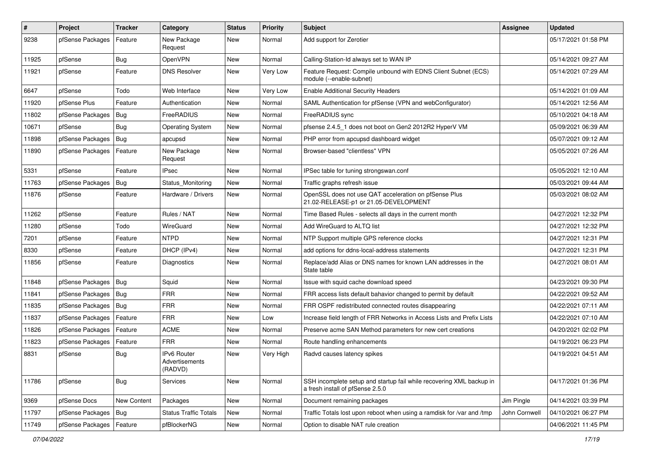| $\vert$ # | Project                | <b>Tracker</b> | Category                                 | <b>Status</b> | <b>Priority</b> | <b>Subject</b>                                                                                           | Assignee      | <b>Updated</b>      |
|-----------|------------------------|----------------|------------------------------------------|---------------|-----------------|----------------------------------------------------------------------------------------------------------|---------------|---------------------|
| 9238      | pfSense Packages       | Feature        | New Package<br>Request                   | New           | Normal          | Add support for Zerotier                                                                                 |               | 05/17/2021 01:58 PM |
| 11925     | pfSense                | Bug            | OpenVPN                                  | New           | Normal          | Calling-Station-Id always set to WAN IP                                                                  |               | 05/14/2021 09:27 AM |
| 11921     | pfSense                | Feature        | <b>DNS Resolver</b>                      | New           | Very Low        | Feature Request: Compile unbound with EDNS Client Subnet (ECS)<br>module (--enable-subnet)               |               | 05/14/2021 07:29 AM |
| 6647      | pfSense                | Todo           | Web Interface                            | New           | Very Low        | <b>Enable Additional Security Headers</b>                                                                |               | 05/14/2021 01:09 AM |
| 11920     | pfSense Plus           | Feature        | Authentication                           | New           | Normal          | SAML Authentication for pfSense (VPN and webConfigurator)                                                |               | 05/14/2021 12:56 AM |
| 11802     | pfSense Packages       | Bug            | <b>FreeRADIUS</b>                        | New           | Normal          | FreeRADIUS sync                                                                                          |               | 05/10/2021 04:18 AM |
| 10671     | pfSense                | <b>Bug</b>     | <b>Operating System</b>                  | New           | Normal          | pfsense 2.4.5 1 does not boot on Gen2 2012R2 HyperV VM                                                   |               | 05/09/2021 06:39 AM |
| 11898     | pfSense Packages       | Bug            | apcupsd                                  | New           | Normal          | PHP error from apcupsd dashboard widget                                                                  |               | 05/07/2021 09:12 AM |
| 11890     | pfSense Packages       | Feature        | New Package<br>Request                   | New           | Normal          | Browser-based "clientless" VPN                                                                           |               | 05/05/2021 07:26 AM |
| 5331      | pfSense                | Feature        | <b>IPsec</b>                             | <b>New</b>    | Normal          | IPSec table for tuning strongswan.conf                                                                   |               | 05/05/2021 12:10 AM |
| 11763     | pfSense Packages       | Bug            | Status Monitoring                        | New           | Normal          | Traffic graphs refresh issue                                                                             |               | 05/03/2021 09:44 AM |
| 11876     | pfSense                | Feature        | Hardware / Drivers                       | New           | Normal          | OpenSSL does not use QAT acceleration on pfSense Plus<br>21.02-RELEASE-p1 or 21.05-DEVELOPMENT           |               | 05/03/2021 08:02 AM |
| 11262     | pfSense                | Feature        | Rules / NAT                              | New           | Normal          | Time Based Rules - selects all days in the current month                                                 |               | 04/27/2021 12:32 PM |
| 11280     | pfSense                | Todo           | WireGuard                                | New           | Normal          | Add WireGuard to ALTQ list                                                                               |               | 04/27/2021 12:32 PM |
| 7201      | pfSense                | Feature        | <b>NTPD</b>                              | New           | Normal          | NTP Support multiple GPS reference clocks                                                                |               | 04/27/2021 12:31 PM |
| 8330      | pfSense                | Feature        | DHCP (IPv4)                              | New           | Normal          | add options for ddns-local-address statements                                                            |               | 04/27/2021 12:31 PM |
| 11856     | pfSense                | Feature        | Diagnostics                              | New           | Normal          | Replace/add Alias or DNS names for known LAN addresses in the<br>State table                             |               | 04/27/2021 08:01 AM |
| 11848     | pfSense Packages       | Bug            | Squid                                    | <b>New</b>    | Normal          | Issue with squid cache download speed                                                                    |               | 04/23/2021 09:30 PM |
| 11841     | pfSense Packages       | Bug            | <b>FRR</b>                               | New           | Normal          | FRR access lists default bahavior changed to permit by default                                           |               | 04/22/2021 09:52 AM |
| 11835     | pfSense Packages   Bug |                | <b>FRR</b>                               | <b>New</b>    | Normal          | FRR OSPF redistributed connected routes disappearing                                                     |               | 04/22/2021 07:11 AM |
| 11837     | pfSense Packages       | Feature        | <b>FRR</b>                               | <b>New</b>    | Low             | Increase field length of FRR Networks in Access Lists and Prefix Lists                                   |               | 04/22/2021 07:10 AM |
| 11826     | pfSense Packages       | Feature        | <b>ACME</b>                              | <b>New</b>    | Normal          | Preserve acme SAN Method parameters for new cert creations                                               |               | 04/20/2021 02:02 PM |
| 11823     | pfSense Packages       | Feature        | <b>FRR</b>                               | New           | Normal          | Route handling enhancements                                                                              |               | 04/19/2021 06:23 PM |
| 8831      | pfSense                | Bug            | IPv6 Router<br>Advertisements<br>(RADVD) | <b>New</b>    | Very High       | Radvd causes latency spikes                                                                              |               | 04/19/2021 04:51 AM |
| 11786     | pfSense                | Bug            | Services                                 | New           | Normal          | SSH incomplete setup and startup fail while recovering XML backup in<br>a fresh install of pfSense 2.5.0 |               | 04/17/2021 01:36 PM |
| 9369      | pfSense Docs           | New Content    | Packages                                 | New           | Normal          | Document remaining packages                                                                              | Jim Pingle    | 04/14/2021 03:39 PM |
| 11797     | pfSense Packages       | Bug            | <b>Status Traffic Totals</b>             | New           | Normal          | Traffic Totals lost upon reboot when using a ramdisk for /var and /tmp                                   | John Cornwell | 04/10/2021 06:27 PM |
| 11749     | pfSense Packages       | Feature        | pfBlockerNG                              | New           | Normal          | Option to disable NAT rule creation                                                                      |               | 04/06/2021 11:45 PM |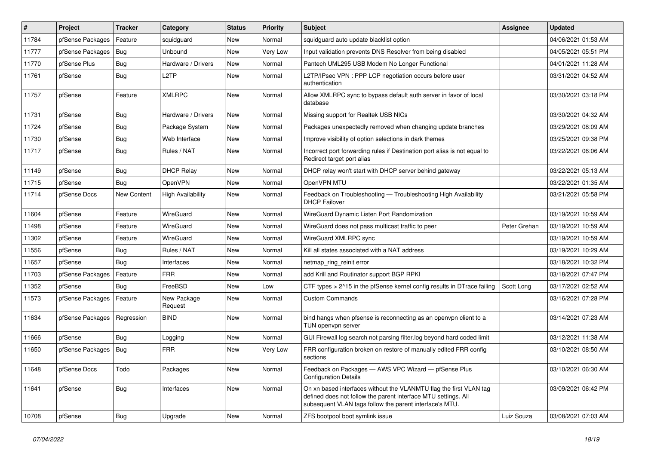| $\vert$ # | Project          | <b>Tracker</b> | Category                 | <b>Status</b> | <b>Priority</b> | <b>Subject</b>                                                                                                                                                                                  | <b>Assignee</b> | <b>Updated</b>      |
|-----------|------------------|----------------|--------------------------|---------------|-----------------|-------------------------------------------------------------------------------------------------------------------------------------------------------------------------------------------------|-----------------|---------------------|
| 11784     | pfSense Packages | Feature        | squidguard               | New           | Normal          | squidguard auto update blacklist option                                                                                                                                                         |                 | 04/06/2021 01:53 AM |
| 11777     | pfSense Packages | <b>Bug</b>     | Unbound                  | New           | Very Low        | Input validation prevents DNS Resolver from being disabled                                                                                                                                      |                 | 04/05/2021 05:51 PM |
| 11770     | pfSense Plus     | Bug            | Hardware / Drivers       | New           | Normal          | Pantech UML295 USB Modem No Longer Functional                                                                                                                                                   |                 | 04/01/2021 11:28 AM |
| 11761     | pfSense          | <b>Bug</b>     | L2TP                     | New           | Normal          | L2TP/IPsec VPN: PPP LCP negotiation occurs before user<br>authentication                                                                                                                        |                 | 03/31/2021 04:52 AM |
| 11757     | pfSense          | Feature        | <b>XMLRPC</b>            | New           | Normal          | Allow XMLRPC sync to bypass default auth server in favor of local<br>database                                                                                                                   |                 | 03/30/2021 03:18 PM |
| 11731     | pfSense          | Bug            | Hardware / Drivers       | New           | Normal          | Missing support for Realtek USB NICs                                                                                                                                                            |                 | 03/30/2021 04:32 AM |
| 11724     | pfSense          | Bug            | Package System           | New           | Normal          | Packages unexpectedly removed when changing update branches                                                                                                                                     |                 | 03/29/2021 08:09 AM |
| 11730     | pfSense          | Bug            | Web Interface            | New           | Normal          | Improve visibility of option selections in dark themes                                                                                                                                          |                 | 03/25/2021 09:38 PM |
| 11717     | pfSense          | Bug            | Rules / NAT              | <b>New</b>    | Normal          | Incorrect port forwarding rules if Destination port alias is not equal to<br>Redirect target port alias                                                                                         |                 | 03/22/2021 06:06 AM |
| 11149     | pfSense          | Bug            | <b>DHCP Relay</b>        | New           | Normal          | DHCP relay won't start with DHCP server behind gateway                                                                                                                                          |                 | 03/22/2021 05:13 AM |
| 11715     | pfSense          | Bug            | OpenVPN                  | New           | Normal          | OpenVPN MTU                                                                                                                                                                                     |                 | 03/22/2021 01:35 AM |
| 11714     | pfSense Docs     | New Content    | <b>High Availability</b> | New           | Normal          | Feedback on Troubleshooting - Troubleshooting High Availability<br><b>DHCP Failover</b>                                                                                                         |                 | 03/21/2021 05:58 PM |
| 11604     | pfSense          | Feature        | WireGuard                | New           | Normal          | WireGuard Dynamic Listen Port Randomization                                                                                                                                                     |                 | 03/19/2021 10:59 AM |
| 11498     | pfSense          | Feature        | WireGuard                | <b>New</b>    | Normal          | WireGuard does not pass multicast traffic to peer                                                                                                                                               | Peter Grehan    | 03/19/2021 10:59 AM |
| 11302     | pfSense          | Feature        | WireGuard                | <b>New</b>    | Normal          | WireGuard XMLRPC sync                                                                                                                                                                           |                 | 03/19/2021 10:59 AM |
| 11556     | pfSense          | <b>Bug</b>     | Rules / NAT              | <b>New</b>    | Normal          | Kill all states associated with a NAT address                                                                                                                                                   |                 | 03/19/2021 10:29 AM |
| 11657     | pfSense          | Bug            | Interfaces               | New           | Normal          | netmap_ring_reinit error                                                                                                                                                                        |                 | 03/18/2021 10:32 PM |
| 11703     | pfSense Packages | Feature        | <b>FRR</b>               | <b>New</b>    | Normal          | add Krill and Routinator support BGP RPKI                                                                                                                                                       |                 | 03/18/2021 07:47 PM |
| 11352     | pfSense          | <b>Bug</b>     | FreeBSD                  | <b>New</b>    | Low             | CTF types > 2^15 in the pfSense kernel config results in DTrace failing                                                                                                                         | Scott Long      | 03/17/2021 02:52 AM |
| 11573     | pfSense Packages | Feature        | New Package<br>Request   | <b>New</b>    | Normal          | <b>Custom Commands</b>                                                                                                                                                                          |                 | 03/16/2021 07:28 PM |
| 11634     | pfSense Packages | Regression     | <b>BIND</b>              | New           | Normal          | bind hangs when pfsense is reconnecting as an openypn client to a<br>TUN openvpn server                                                                                                         |                 | 03/14/2021 07:23 AM |
| 11666     | pfSense          | Bug            | Logging                  | New           | Normal          | GUI Firewall log search not parsing filter.log beyond hard coded limit                                                                                                                          |                 | 03/12/2021 11:38 AM |
| 11650     | pfSense Packages | <b>Bug</b>     | <b>FRR</b>               | New           | Very Low        | FRR configuration broken on restore of manually edited FRR config<br>sections                                                                                                                   |                 | 03/10/2021 08:50 AM |
| 11648     | pfSense Docs     | Todo           | Packages                 | New           | Normal          | Feedback on Packages — AWS VPC Wizard — pfSense Plus<br><b>Configuration Details</b>                                                                                                            |                 | 03/10/2021 06:30 AM |
| 11641     | pfSense          | Bug            | Interfaces               | New           | Normal          | On xn based interfaces without the VLANMTU flag the first VLAN tag<br>defined does not follow the parent interface MTU settings. All<br>subsequent VLAN tags follow the parent interface's MTU. |                 | 03/09/2021 06:42 PM |
| 10708     | pfSense          | <b>Bug</b>     | Upgrade                  | New           | Normal          | ZFS bootpool boot symlink issue                                                                                                                                                                 | Luiz Souza      | 03/08/2021 07:03 AM |